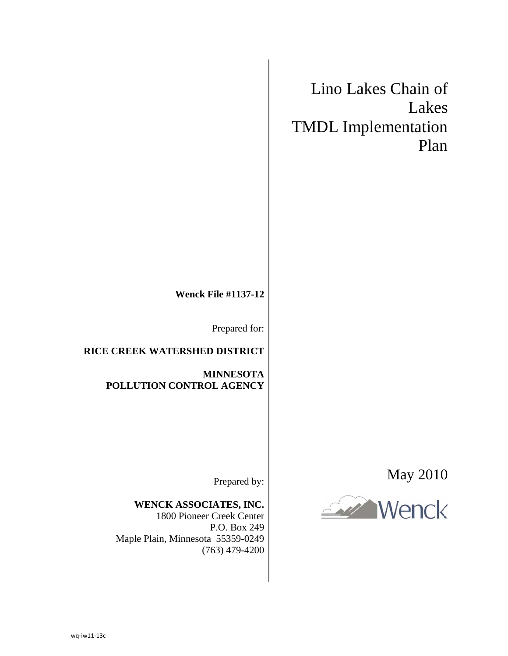## Lino Lakes Chain of Lakes TMDL Implementation Plan

**Wenck File #1137-12** 

Prepared for:

**RICE CREEK WATERSHED DISTRICT** 

**MINNESOTA POLLUTION CONTROL AGENCY** 

May 2010



Prepared by:

**WENCK ASSOCIATES, INC.**  1800 Pioneer Creek Center

P.O. Box 249 Maple Plain, Minnesota 55359-0249 (763) 479-4200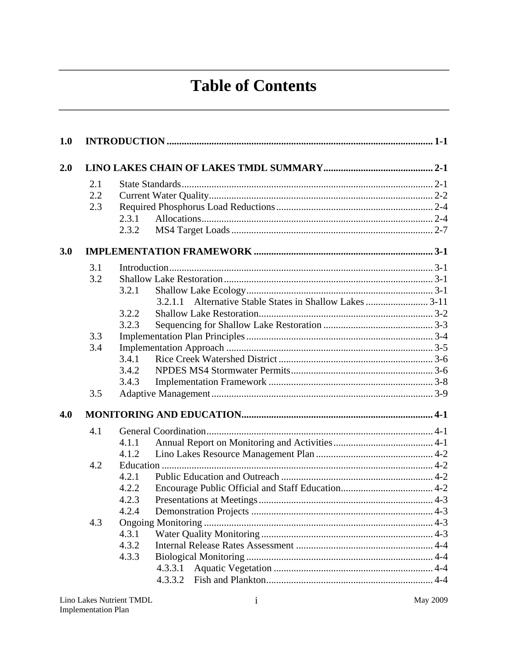## **Table of Contents**

| 1.0 |     |                                                          |  |
|-----|-----|----------------------------------------------------------|--|
| 2.0 |     |                                                          |  |
|     | 2.1 |                                                          |  |
|     | 2.2 |                                                          |  |
|     | 2.3 |                                                          |  |
|     |     | 2.3.1                                                    |  |
|     |     | 2.3.2                                                    |  |
| 3.0 |     |                                                          |  |
|     | 3.1 |                                                          |  |
|     | 3.2 |                                                          |  |
|     |     | 3.2.1                                                    |  |
|     |     | 3.2.1.1 Alternative Stable States in Shallow Lakes  3-11 |  |
|     |     | 3.2.2                                                    |  |
|     |     | 3.2.3                                                    |  |
|     | 3.3 |                                                          |  |
|     | 3.4 |                                                          |  |
|     |     | 3.4.1                                                    |  |
|     |     | 3.4.2                                                    |  |
|     |     | 3.4.3                                                    |  |
|     | 3.5 |                                                          |  |
| 4.0 |     |                                                          |  |
|     | 4.1 |                                                          |  |
|     |     | 4.1.1                                                    |  |
|     |     | 4.1.2                                                    |  |
|     | 4.2 |                                                          |  |
|     |     | 4.2.1                                                    |  |
|     |     | 4.2.2                                                    |  |
|     |     | 4.2.3                                                    |  |
|     |     | 4.2.4                                                    |  |
|     | 4.3 |                                                          |  |
|     |     | 4.3.1                                                    |  |
|     |     | 4.3.2                                                    |  |
|     |     | 4.3.3                                                    |  |
|     |     | 4.3.3.1                                                  |  |
|     |     | 4.3.3.2                                                  |  |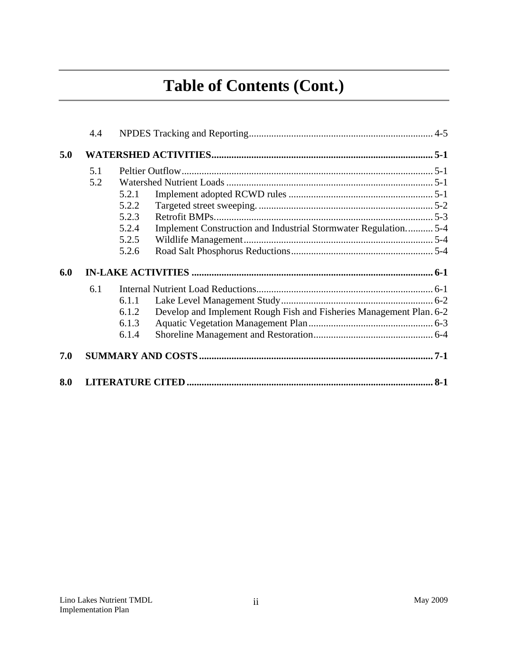# **Table of Contents (Cont.)**

|     | 4.4 |       |                                                                     |       |
|-----|-----|-------|---------------------------------------------------------------------|-------|
| 5.0 |     |       |                                                                     |       |
|     | 5.1 |       |                                                                     |       |
|     | 5.2 |       |                                                                     |       |
|     |     | 5.2.1 |                                                                     |       |
|     |     | 5.2.2 |                                                                     |       |
|     |     | 5.2.3 |                                                                     |       |
|     |     | 5.2.4 | Implement Construction and Industrial Stormwater Regulation 5-4     |       |
|     |     | 5.2.5 |                                                                     |       |
|     |     | 5.2.6 |                                                                     |       |
| 6.0 |     |       |                                                                     |       |
|     | 6.1 |       |                                                                     |       |
|     |     | 6.1.1 |                                                                     |       |
|     |     | 6.1.2 | Develop and Implement Rough Fish and Fisheries Management Plan. 6-2 |       |
|     |     | 6.1.3 |                                                                     |       |
|     |     | 6.1.4 |                                                                     |       |
| 7.0 |     |       |                                                                     |       |
| 8.0 |     |       |                                                                     | $8-1$ |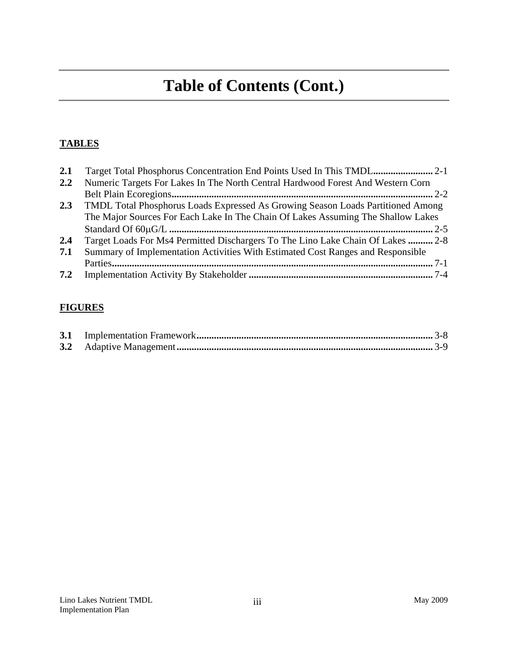## **Table of Contents (Cont.)**

## **TABLES**

| 2.1 |                                                                                  |
|-----|----------------------------------------------------------------------------------|
| 2.2 | Numeric Targets For Lakes In The North Central Hardwood Forest And Western Corn  |
|     |                                                                                  |
| 2.3 | TMDL Total Phosphorus Loads Expressed As Growing Season Loads Partitioned Among  |
|     | The Major Sources For Each Lake In The Chain Of Lakes Assuming The Shallow Lakes |
|     |                                                                                  |
| 2.4 | Target Loads For Ms4 Permitted Dischargers To The Lino Lake Chain Of Lakes  2-8  |
| 7.1 | Summary of Implementation Activities With Estimated Cost Ranges and Responsible  |
|     |                                                                                  |
|     |                                                                                  |

## **FIGURES**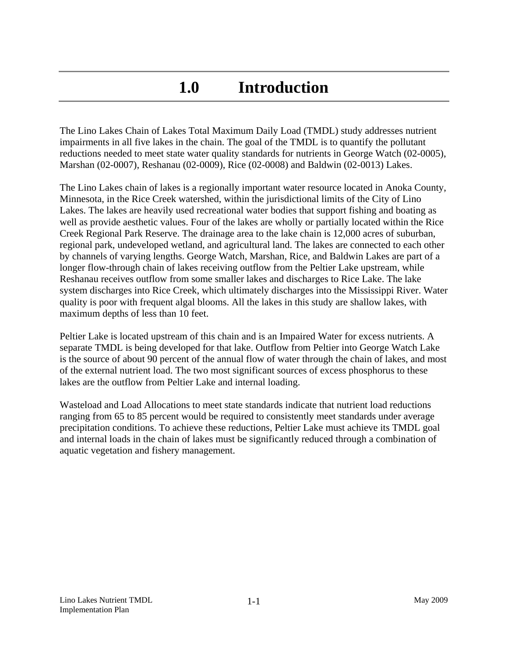## **1.0 Introduction**

The Lino Lakes Chain of Lakes Total Maximum Daily Load (TMDL) study addresses nutrient impairments in all five lakes in the chain. The goal of the TMDL is to quantify the pollutant reductions needed to meet state water quality standards for nutrients in George Watch (02-0005), Marshan (02-0007), Reshanau (02-0009), Rice (02-0008) and Baldwin (02-0013) Lakes.

The Lino Lakes chain of lakes is a regionally important water resource located in Anoka County, Minnesota, in the Rice Creek watershed, within the jurisdictional limits of the City of Lino Lakes. The lakes are heavily used recreational water bodies that support fishing and boating as well as provide aesthetic values. Four of the lakes are wholly or partially located within the Rice Creek Regional Park Reserve. The drainage area to the lake chain is 12,000 acres of suburban, regional park, undeveloped wetland, and agricultural land. The lakes are connected to each other by channels of varying lengths. George Watch, Marshan, Rice, and Baldwin Lakes are part of a longer flow-through chain of lakes receiving outflow from the Peltier Lake upstream, while Reshanau receives outflow from some smaller lakes and discharges to Rice Lake. The lake system discharges into Rice Creek, which ultimately discharges into the Mississippi River. Water quality is poor with frequent algal blooms. All the lakes in this study are shallow lakes, with maximum depths of less than 10 feet.

Peltier Lake is located upstream of this chain and is an Impaired Water for excess nutrients. A separate TMDL is being developed for that lake. Outflow from Peltier into George Watch Lake is the source of about 90 percent of the annual flow of water through the chain of lakes, and most of the external nutrient load. The two most significant sources of excess phosphorus to these lakes are the outflow from Peltier Lake and internal loading.

Wasteload and Load Allocations to meet state standards indicate that nutrient load reductions ranging from 65 to 85 percent would be required to consistently meet standards under average precipitation conditions. To achieve these reductions, Peltier Lake must achieve its TMDL goal and internal loads in the chain of lakes must be significantly reduced through a combination of aquatic vegetation and fishery management.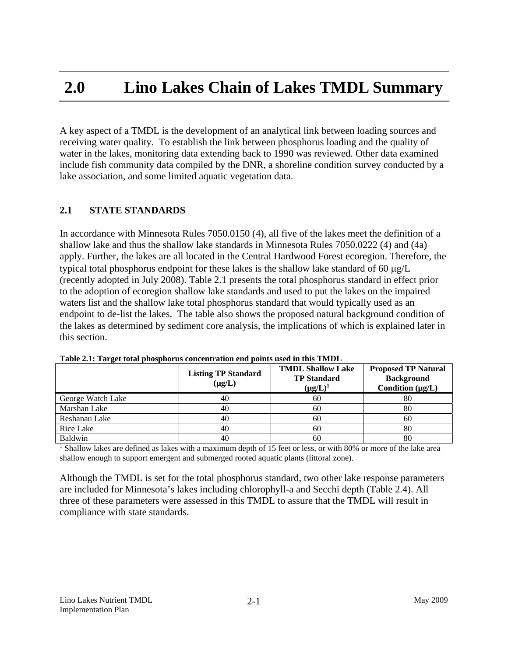## **2.0 Lino Lakes Chain of Lakes TMDL Summary**

A key aspect of a TMDL is the development of an analytical link between loading sources and receiving water quality. To establish the link between phosphorus loading and the quality of water in the lakes, monitoring data extending back to 1990 was reviewed. Other data examined include fish community data compiled by the DNR, a shoreline condition survey conducted by a lake association, and some limited aquatic vegetation data.

#### **2.1 STATE STANDARDS**

In accordance with Minnesota Rules 7050.0150 (4), all five of the lakes meet the definition of a shallow lake and thus the shallow lake standards in Minnesota Rules 7050.0222 (4) and (4a) apply. Further, the lakes are all located in the Central Hardwood Forest ecoregion. Therefore, the typical total phosphorus endpoint for these lakes is the shallow lake standard of 60  $\mu$ g/L (recently adopted in July 2008). Table 2.1 presents the total phosphorus standard in effect prior to the adoption of ecoregion shallow lake standards and used to put the lakes on the impaired waters list and the shallow lake total phosphorus standard that would typically used as an endpoint to de-list the lakes. The table also shows the proposed natural background condition of the lakes as determined by sediment core analysis, the implications of which is explained later in this section.

|                   | <b>Listing TP Standard</b><br>$(\mu g/L)$ | <b>TMDL Shallow Lake</b><br><b>TP</b> Standard<br>$(\mu g/L)^1$ | <b>Proposed TP Natural</b><br><b>Background</b><br>Condition $(\mu g/L)$ |
|-------------------|-------------------------------------------|-----------------------------------------------------------------|--------------------------------------------------------------------------|
| George Watch Lake | 40                                        | 60                                                              | 80                                                                       |
| Marshan Lake      | 40                                        | 60                                                              | 80                                                                       |
| Reshanau Lake     | 40                                        | 60                                                              | 60                                                                       |
| Rice Lake         | 40                                        | 60                                                              | 80                                                                       |
| Baldwin           | 40                                        | 60                                                              | 80                                                                       |

**Table 2.1: Target total phosphorus concentration end points used in this TMDL**

<sup>1</sup> Shallow lakes are defined as lakes with a maximum depth of 15 feet or less, or with 80% or more of the lake area shallow enough to support emergent and submerged rooted aquatic plants (littoral zone).

Although the TMDL is set for the total phosphorus standard, two other lake response parameters are included for Minnesota's lakes including chlorophyll-a and Secchi depth (Table 2.4). All three of these parameters were assessed in this TMDL to assure that the TMDL will result in compliance with state standards.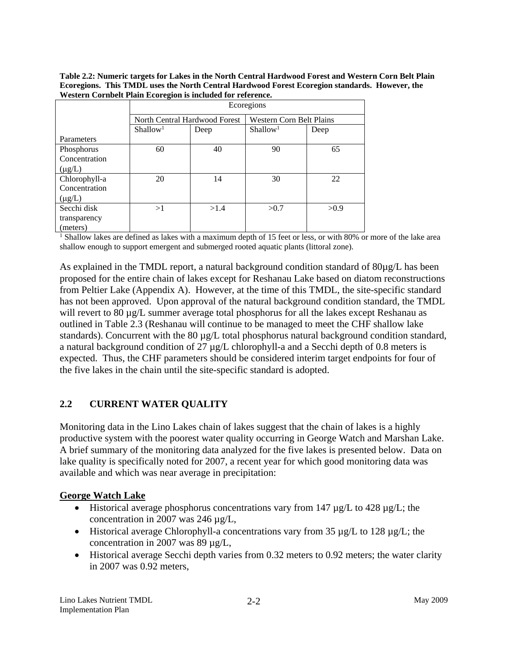**Table 2.2: Numeric targets for Lakes in the North Central Hardwood Forest and Western Corn Belt Plain Ecoregions. This TMDL uses the North Central Hardwood Forest Ecoregion standards. However, the Western Cornbelt Plain Ecoregion is included for reference.** 

|               | Ecoregions           |                                                                  |                      |      |  |  |  |
|---------------|----------------------|------------------------------------------------------------------|----------------------|------|--|--|--|
|               |                      | North Central Hardwood Forest<br><b>Western Corn Belt Plains</b> |                      |      |  |  |  |
|               | Shallow <sup>1</sup> | Deep                                                             | Shallow <sup>1</sup> | Deep |  |  |  |
| Parameters    |                      |                                                                  |                      |      |  |  |  |
| Phosphorus    | 60                   | 40                                                               | 90                   | 65   |  |  |  |
| Concentration |                      |                                                                  |                      |      |  |  |  |
| $(\mu g/L)$   |                      |                                                                  |                      |      |  |  |  |
| Chlorophyll-a | 20                   | 14                                                               | 30                   | 22   |  |  |  |
| Concentration |                      |                                                                  |                      |      |  |  |  |
| $(\mu g/L)$   |                      |                                                                  |                      |      |  |  |  |
| Secchi disk   | >1                   | >1.4                                                             | >0.7                 | >0.9 |  |  |  |
| transparency  |                      |                                                                  |                      |      |  |  |  |
| (meters)      |                      |                                                                  |                      |      |  |  |  |

<sup>1</sup> Shallow lakes are defined as lakes with a maximum depth of 15 feet or less, or with 80% or more of the lake area shallow enough to support emergent and submerged rooted aquatic plants (littoral zone).

As explained in the TMDL report, a natural background condition standard of 80µg/L has been proposed for the entire chain of lakes except for Reshanau Lake based on diatom reconstructions from Peltier Lake (Appendix A). However, at the time of this TMDL, the site-specific standard has not been approved. Upon approval of the natural background condition standard, the TMDL will revert to 80 µg/L summer average total phosphorus for all the lakes except Reshanau as outlined in Table 2.3 (Reshanau will continue to be managed to meet the CHF shallow lake standards). Concurrent with the 80 µg/L total phosphorus natural background condition standard, a natural background condition of 27 µg/L chlorophyll-a and a Secchi depth of 0.8 meters is expected. Thus, the CHF parameters should be considered interim target endpoints for four of the five lakes in the chain until the site-specific standard is adopted.

## **2.2 CURRENT WATER QUALITY**

Monitoring data in the Lino Lakes chain of lakes suggest that the chain of lakes is a highly productive system with the poorest water quality occurring in George Watch and Marshan Lake. A brief summary of the monitoring data analyzed for the five lakes is presented below. Data on lake quality is specifically noted for 2007, a recent year for which good monitoring data was available and which was near average in precipitation:

## **George Watch Lake**

- $\bullet$  Historical average phosphorus concentrations vary from 147  $\mu$ g/L to 428  $\mu$ g/L; the concentration in 2007 was 246 µg/L,
- $\bullet$  Historical average Chlorophyll-a concentrations vary from 35  $\mu$ g/L to 128  $\mu$ g/L; the concentration in 2007 was 89 µg/L,
- Historical average Secchi depth varies from 0.32 meters to 0.92 meters; the water clarity in 2007 was 0.92 meters,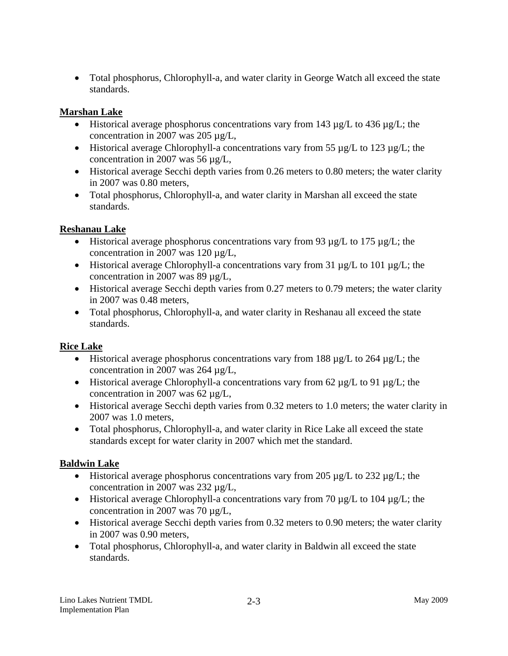• Total phosphorus, Chlorophyll-a, and water clarity in George Watch all exceed the state standards.

## **Marshan Lake**

- Historical average phosphorus concentrations vary from 143  $\mu$ g/L to 436  $\mu$ g/L; the concentration in 2007 was 205 µg/L,
- Historical average Chlorophyll-a concentrations vary from 55  $\mu$ g/L to 123  $\mu$ g/L; the concentration in 2007 was 56 µg/L,
- Historical average Secchi depth varies from 0.26 meters to 0.80 meters; the water clarity in 2007 was 0.80 meters,
- Total phosphorus, Chlorophyll-a, and water clarity in Marshan all exceed the state standards.

## **Reshanau Lake**

- $\bullet$  Historical average phosphorus concentrations vary from 93  $\mu$ g/L to 175  $\mu$ g/L; the concentration in 2007 was 120 µg/L,
- $\bullet$  Historical average Chlorophyll-a concentrations vary from 31  $\mu$ g/L to 101  $\mu$ g/L; the concentration in 2007 was 89 µg/L,
- Historical average Secchi depth varies from 0.27 meters to 0.79 meters; the water clarity in 2007 was 0.48 meters,
- Total phosphorus, Chlorophyll-a, and water clarity in Reshanau all exceed the state standards.

## **Rice Lake**

- $\bullet$  Historical average phosphorus concentrations vary from 188  $\mu$ g/L to 264  $\mu$ g/L; the concentration in 2007 was 264 µg/L,
- Historical average Chlorophyll-a concentrations vary from 62  $\mu$ g/L to 91  $\mu$ g/L; the concentration in 2007 was 62 µg/L,
- Historical average Secchi depth varies from 0.32 meters to 1.0 meters; the water clarity in 2007 was 1.0 meters,
- Total phosphorus, Chlorophyll-a, and water clarity in Rice Lake all exceed the state standards except for water clarity in 2007 which met the standard.

## **Baldwin Lake**

- Historical average phosphorus concentrations vary from 205  $\mu$ g/L to 232  $\mu$ g/L; the concentration in 2007 was 232 µg/L,
- Historical average Chlorophyll-a concentrations vary from 70  $\mu$ g/L to 104  $\mu$ g/L; the concentration in 2007 was 70 µg/L,
- Historical average Secchi depth varies from 0.32 meters to 0.90 meters; the water clarity in 2007 was 0.90 meters,
- Total phosphorus, Chlorophyll-a, and water clarity in Baldwin all exceed the state standards.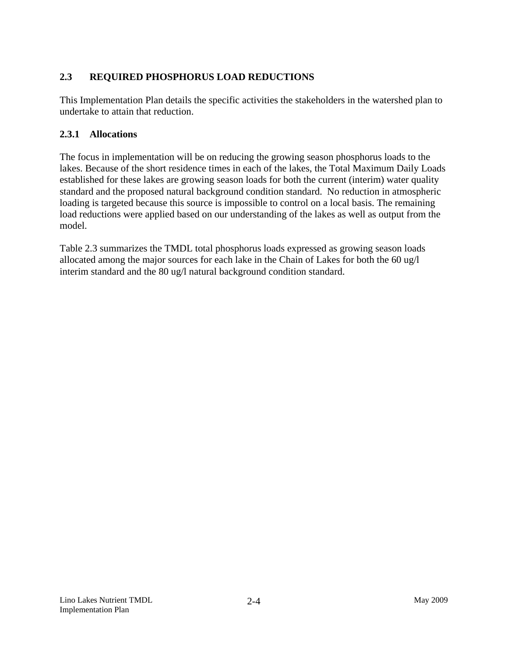## **2.3 REQUIRED PHOSPHORUS LOAD REDUCTIONS**

This Implementation Plan details the specific activities the stakeholders in the watershed plan to undertake to attain that reduction.

#### **2.3.1 Allocations**

The focus in implementation will be on reducing the growing season phosphorus loads to the lakes. Because of the short residence times in each of the lakes, the Total Maximum Daily Loads established for these lakes are growing season loads for both the current (interim) water quality standard and the proposed natural background condition standard. No reduction in atmospheric loading is targeted because this source is impossible to control on a local basis. The remaining load reductions were applied based on our understanding of the lakes as well as output from the model.

Table 2.3 summarizes the TMDL total phosphorus loads expressed as growing season loads allocated among the major sources for each lake in the Chain of Lakes for both the 60 ug/l interim standard and the 80 ug/l natural background condition standard.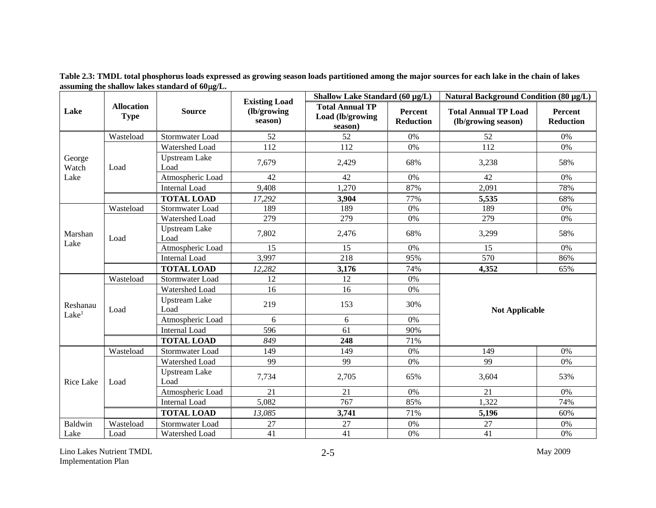|                               |                                  | <b>Existing Load</b>         |                         | Shallow Lake Standard (60 µg/L)                       |                                    | Natural Background Condition (80 µg/L)             |                                    |
|-------------------------------|----------------------------------|------------------------------|-------------------------|-------------------------------------------------------|------------------------------------|----------------------------------------------------|------------------------------------|
| Lake                          | <b>Allocation</b><br><b>Type</b> | <b>Source</b>                | (lb/growing)<br>season) | <b>Total Annual TP</b><br>Load (lb/growing<br>season) | <b>Percent</b><br><b>Reduction</b> | <b>Total Annual TP Load</b><br>(lb/growing season) | <b>Percent</b><br><b>Reduction</b> |
|                               | Wasteload                        | Stormwater Load              | 52                      | 52                                                    | 0%                                 | 52                                                 | 0%                                 |
|                               |                                  | Watershed Load               | 112                     | 112                                                   | 0%                                 | 112                                                | 0%                                 |
| George<br>Watch               | Load                             | <b>Upstream Lake</b><br>Load | 7,679                   | 2,429                                                 | 68%                                | 3,238                                              | 58%                                |
| Lake                          |                                  | Atmospheric Load             | 42                      | 42                                                    | 0%                                 | 42                                                 | 0%                                 |
|                               |                                  | Internal Load                | 9,408                   | 1,270                                                 | 87%                                | 2,091                                              | 78%                                |
|                               |                                  | <b>TOTAL LOAD</b>            | 17,292                  | 3,904                                                 | 77%                                | 5,535                                              | 68%                                |
|                               | Wasteload                        | Stormwater Load              | 189                     | 189                                                   | 0%                                 | 189                                                | 0%                                 |
|                               |                                  | Watershed Load               | 279                     | 279                                                   | 0%                                 | 279                                                | $0\%$                              |
| Marshan                       | Load                             | <b>Upstream Lake</b><br>Load | 7,802                   | 2,476                                                 | 68%                                | 3,299                                              | 58%                                |
| Lake                          |                                  | Atmospheric Load             | 15                      | 15                                                    | 0%                                 | 15                                                 | 0%                                 |
|                               |                                  | <b>Internal Load</b>         | 3,997                   | 218                                                   | 95%                                | 570                                                | 86%                                |
|                               |                                  | <b>TOTAL LOAD</b>            | 12,282                  | 3,176                                                 | 74%                                | 4,352                                              | 65%                                |
|                               | Wasteload                        | Stormwater Load              | 12                      | 12                                                    | 0%                                 |                                                    |                                    |
|                               |                                  | Watershed Load               | 16                      | 16                                                    | 0%                                 |                                                    |                                    |
| Reshanau<br>Lake <sup>1</sup> | Load                             | <b>Upstream Lake</b><br>Load | 219                     | 153                                                   | 30%                                | <b>Not Applicable</b>                              |                                    |
|                               |                                  | Atmospheric Load             | 6                       | 6                                                     | 0%                                 |                                                    |                                    |
|                               |                                  | Internal Load                | 596                     | 61                                                    | 90%                                |                                                    |                                    |
|                               |                                  | <b>TOTAL LOAD</b>            | 849                     | 248                                                   | 71%                                |                                                    |                                    |
|                               | Wasteload                        | Stormwater Load              | 149                     | 149                                                   | 0%                                 | 149                                                | 0%                                 |
|                               |                                  | Watershed Load               | 99                      | 99                                                    | 0%                                 | 99                                                 | $0\%$                              |
| Rice Lake                     | Load                             | <b>Upstream Lake</b><br>Load | 7,734                   | 2,705                                                 | 65%                                | 3,604                                              | 53%                                |
|                               |                                  | Atmospheric Load             | 21                      | 21                                                    | 0%                                 | 21                                                 | 0%                                 |
|                               |                                  | <b>Internal Load</b>         | 5,082                   | 767                                                   | 85%                                | 1,322                                              | 74%                                |
|                               |                                  | <b>TOTAL LOAD</b>            | 13,085                  | 3,741                                                 | 71%                                | 5,196                                              | 60%                                |
| Baldwin                       | Wasteload                        | Stormwater Load              | 27                      | 27                                                    | 0%                                 | 27                                                 | 0%                                 |
| Lake                          | Load                             | Watershed Load               | 41                      | 41                                                    | 0%                                 | 41                                                 | 0%                                 |

**Table 2.3: TMDL total phosphorus loads expressed as growing season loads partitioned among the major sources for each lake in the chain of lakes assuming the shallow lakes standard of 60g/L.** 

Lino Lakes Nutrient TMDL May 2009 Implementation Plan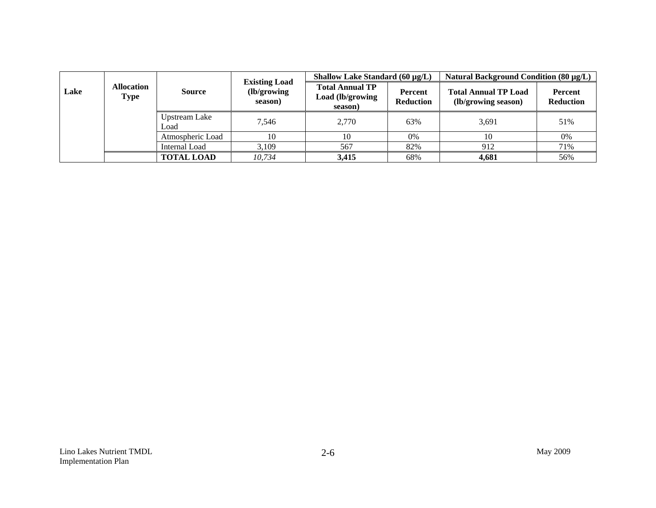|      |                           |                       |                                                 | Shallow Lake Standard $(60 \mu g/L)$                  |                             | Natural Background Condition (80 μg/L)             |                                    |
|------|---------------------------|-----------------------|-------------------------------------------------|-------------------------------------------------------|-----------------------------|----------------------------------------------------|------------------------------------|
| Lake | <b>Allocation</b><br>Type | <b>Source</b>         | <b>Existing Load</b><br>(lb/growing)<br>season) | <b>Total Annual TP</b><br>Load (lb/growing<br>season) | Percent<br><b>Reduction</b> | <b>Total Annual TP Load</b><br>(lb/growing season) | <b>Percent</b><br><b>Reduction</b> |
|      |                           | Upstream Lake<br>Load | 7.546                                           | 2.770                                                 | 63%                         | 3,691                                              | 51%                                |
|      |                           | Atmospheric Load      | 10                                              | 10                                                    | 0%                          | 10                                                 | 0%                                 |
|      |                           | Internal Load         | 3,109                                           | 567                                                   | 82%                         | 912                                                | 71%                                |
|      |                           | <b>TOTAL LOAD</b>     | 10.734                                          | 3,415                                                 | 68%                         | 4,681                                              | 56%                                |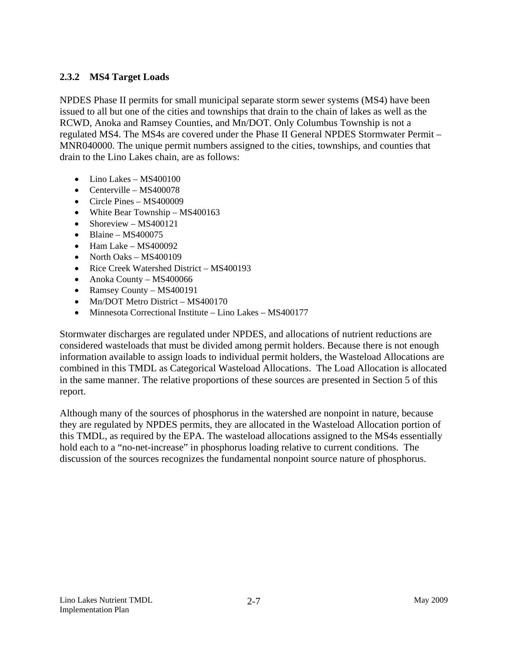## **2.3.2 MS4 Target Loads**

NPDES Phase II permits for small municipal separate storm sewer systems (MS4) have been issued to all but one of the cities and townships that drain to the chain of lakes as well as the RCWD, Anoka and Ramsey Counties, and Mn/DOT. Only Columbus Township is not a regulated MS4. The MS4s are covered under the Phase II General NPDES Stormwater Permit – MNR040000. The unique permit numbers assigned to the cities, townships, and counties that drain to the Lino Lakes chain, are as follows:

- Lino Lakes MS400100
- Centerville MS400078
- Circle Pines MS400009
- White Bear Township MS400163
- Shoreview MS400121
- $\bullet$  Blaine MS400075
- Ham Lake MS400092
- North Oaks MS400109
- Rice Creek Watershed District MS400193
- Anoka County MS400066
- Ramsey County MS400191
- Mn/DOT Metro District MS400170
- Minnesota Correctional Institute Lino Lakes MS400177

Stormwater discharges are regulated under NPDES, and allocations of nutrient reductions are considered wasteloads that must be divided among permit holders. Because there is not enough information available to assign loads to individual permit holders, the Wasteload Allocations are combined in this TMDL as Categorical Wasteload Allocations. The Load Allocation is allocated in the same manner. The relative proportions of these sources are presented in Section 5 of this report.

Although many of the sources of phosphorus in the watershed are nonpoint in nature, because they are regulated by NPDES permits, they are allocated in the Wasteload Allocation portion of this TMDL, as required by the EPA. The wasteload allocations assigned to the MS4s essentially hold each to a "no-net-increase" in phosphorus loading relative to current conditions. The discussion of the sources recognizes the fundamental nonpoint source nature of phosphorus.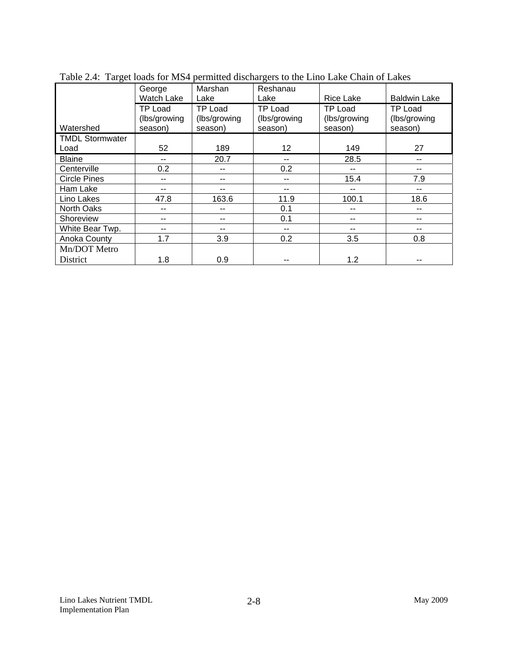|                        | George<br>Watch Lake                      | Marshan<br>Lake                           | Reshanau<br>Lake                          | Rice Lake                                 | <b>Baldwin Lake</b>                |  |
|------------------------|-------------------------------------------|-------------------------------------------|-------------------------------------------|-------------------------------------------|------------------------------------|--|
| Watershed              | <b>TP Load</b><br>(lbs/growing<br>season) | <b>TP Load</b><br>(lbs/growing<br>season) | <b>TP Load</b><br>(lbs/growing<br>season) | <b>TP Load</b><br>(lbs/growing<br>season) | TP Load<br>(lbs/growing<br>season) |  |
| <b>TMDL Stormwater</b> |                                           |                                           |                                           |                                           |                                    |  |
| Load                   | 52                                        | 189                                       | 12                                        | 149                                       | 27                                 |  |
| <b>Blaine</b>          | --                                        | 20.7                                      | --                                        | 28.5                                      | --                                 |  |
| Centerville            | 0.2                                       | --                                        | 0.2                                       | --                                        | --                                 |  |
| <b>Circle Pines</b>    | --                                        | --                                        | --                                        | 15.4                                      | 7.9                                |  |
| Ham Lake               | --                                        | --                                        | --                                        | --                                        | --                                 |  |
| Lino Lakes             | 47.8                                      | 163.6                                     | 11.9                                      | 100.1                                     | 18.6                               |  |
| <b>North Oaks</b>      | --                                        | --                                        | 0.1                                       | --                                        | $-$                                |  |
| Shoreview              | --                                        | --                                        | 0.1                                       | --                                        | --                                 |  |
| White Bear Twp.        | --                                        | $-$                                       | --                                        | --                                        | --                                 |  |
| Anoka County           | 1.7                                       | 3.9                                       | 0.2                                       | 3.5                                       | 0.8                                |  |
| Mn/DOT Metro           |                                           |                                           |                                           |                                           |                                    |  |
| District               | 1.8                                       | 0.9                                       |                                           | 1.2                                       |                                    |  |

Table 2.4: Target loads for MS4 permitted dischargers to the Lino Lake Chain of Lakes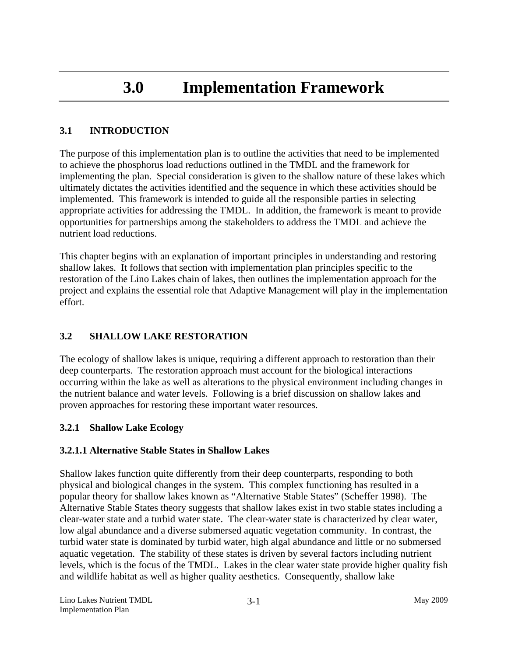## **3.0 Implementation Framework**

## **3.1 INTRODUCTION**

The purpose of this implementation plan is to outline the activities that need to be implemented to achieve the phosphorus load reductions outlined in the TMDL and the framework for implementing the plan. Special consideration is given to the shallow nature of these lakes which ultimately dictates the activities identified and the sequence in which these activities should be implemented. This framework is intended to guide all the responsible parties in selecting appropriate activities for addressing the TMDL. In addition, the framework is meant to provide opportunities for partnerships among the stakeholders to address the TMDL and achieve the nutrient load reductions.

This chapter begins with an explanation of important principles in understanding and restoring shallow lakes. It follows that section with implementation plan principles specific to the restoration of the Lino Lakes chain of lakes, then outlines the implementation approach for the project and explains the essential role that Adaptive Management will play in the implementation effort.

## **3.2 SHALLOW LAKE RESTORATION**

The ecology of shallow lakes is unique, requiring a different approach to restoration than their deep counterparts. The restoration approach must account for the biological interactions occurring within the lake as well as alterations to the physical environment including changes in the nutrient balance and water levels. Following is a brief discussion on shallow lakes and proven approaches for restoring these important water resources.

#### **3.2.1 Shallow Lake Ecology**

#### **3.2.1.1 Alternative Stable States in Shallow Lakes**

Shallow lakes function quite differently from their deep counterparts, responding to both physical and biological changes in the system. This complex functioning has resulted in a popular theory for shallow lakes known as "Alternative Stable States" (Scheffer 1998). The Alternative Stable States theory suggests that shallow lakes exist in two stable states including a clear-water state and a turbid water state. The clear-water state is characterized by clear water, low algal abundance and a diverse submersed aquatic vegetation community. In contrast, the turbid water state is dominated by turbid water, high algal abundance and little or no submersed aquatic vegetation. The stability of these states is driven by several factors including nutrient levels, which is the focus of the TMDL. Lakes in the clear water state provide higher quality fish and wildlife habitat as well as higher quality aesthetics. Consequently, shallow lake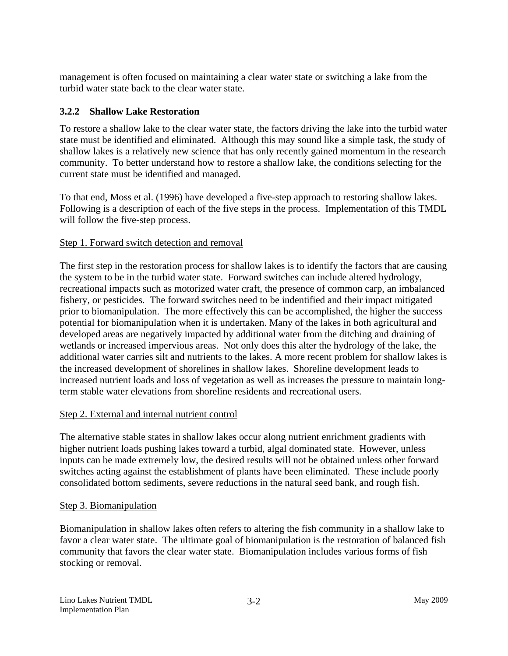management is often focused on maintaining a clear water state or switching a lake from the turbid water state back to the clear water state.

#### **3.2.2 Shallow Lake Restoration**

To restore a shallow lake to the clear water state, the factors driving the lake into the turbid water state must be identified and eliminated. Although this may sound like a simple task, the study of shallow lakes is a relatively new science that has only recently gained momentum in the research community. To better understand how to restore a shallow lake, the conditions selecting for the current state must be identified and managed.

To that end, Moss et al. (1996) have developed a five-step approach to restoring shallow lakes. Following is a description of each of the five steps in the process. Implementation of this TMDL will follow the five-step process.

#### Step 1. Forward switch detection and removal

The first step in the restoration process for shallow lakes is to identify the factors that are causing the system to be in the turbid water state. Forward switches can include altered hydrology, recreational impacts such as motorized water craft, the presence of common carp, an imbalanced fishery, or pesticides. The forward switches need to be indentified and their impact mitigated prior to biomanipulation. The more effectively this can be accomplished, the higher the success potential for biomanipulation when it is undertaken. Many of the lakes in both agricultural and developed areas are negatively impacted by additional water from the ditching and draining of wetlands or increased impervious areas. Not only does this alter the hydrology of the lake, the additional water carries silt and nutrients to the lakes. A more recent problem for shallow lakes is the increased development of shorelines in shallow lakes. Shoreline development leads to increased nutrient loads and loss of vegetation as well as increases the pressure to maintain longterm stable water elevations from shoreline residents and recreational users.

#### Step 2. External and internal nutrient control

The alternative stable states in shallow lakes occur along nutrient enrichment gradients with higher nutrient loads pushing lakes toward a turbid, algal dominated state. However, unless inputs can be made extremely low, the desired results will not be obtained unless other forward switches acting against the establishment of plants have been eliminated. These include poorly consolidated bottom sediments, severe reductions in the natural seed bank, and rough fish.

#### Step 3. Biomanipulation

Biomanipulation in shallow lakes often refers to altering the fish community in a shallow lake to favor a clear water state. The ultimate goal of biomanipulation is the restoration of balanced fish community that favors the clear water state. Biomanipulation includes various forms of fish stocking or removal.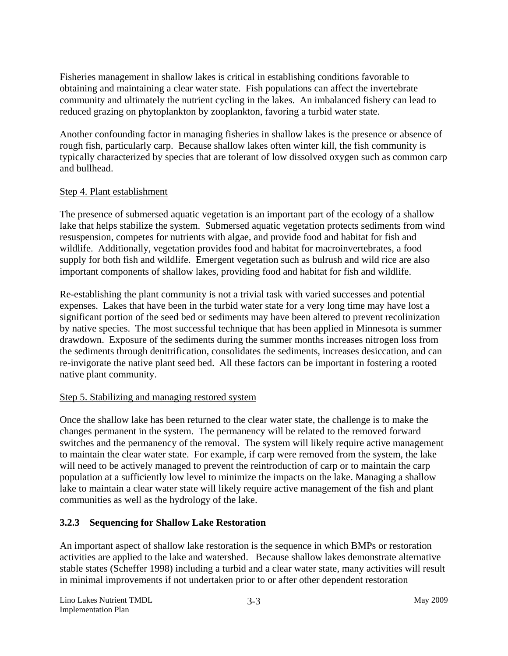Fisheries management in shallow lakes is critical in establishing conditions favorable to obtaining and maintaining a clear water state. Fish populations can affect the invertebrate community and ultimately the nutrient cycling in the lakes. An imbalanced fishery can lead to reduced grazing on phytoplankton by zooplankton, favoring a turbid water state.

Another confounding factor in managing fisheries in shallow lakes is the presence or absence of rough fish, particularly carp. Because shallow lakes often winter kill, the fish community is typically characterized by species that are tolerant of low dissolved oxygen such as common carp and bullhead.

#### Step 4. Plant establishment

The presence of submersed aquatic vegetation is an important part of the ecology of a shallow lake that helps stabilize the system. Submersed aquatic vegetation protects sediments from wind resuspension, competes for nutrients with algae, and provide food and habitat for fish and wildlife. Additionally, vegetation provides food and habitat for macroinvertebrates, a food supply for both fish and wildlife. Emergent vegetation such as bulrush and wild rice are also important components of shallow lakes, providing food and habitat for fish and wildlife.

Re-establishing the plant community is not a trivial task with varied successes and potential expenses. Lakes that have been in the turbid water state for a very long time may have lost a significant portion of the seed bed or sediments may have been altered to prevent recolinization by native species. The most successful technique that has been applied in Minnesota is summer drawdown. Exposure of the sediments during the summer months increases nitrogen loss from the sediments through denitrification, consolidates the sediments, increases desiccation, and can re-invigorate the native plant seed bed. All these factors can be important in fostering a rooted native plant community.

#### Step 5. Stabilizing and managing restored system

Once the shallow lake has been returned to the clear water state, the challenge is to make the changes permanent in the system. The permanency will be related to the removed forward switches and the permanency of the removal. The system will likely require active management to maintain the clear water state. For example, if carp were removed from the system, the lake will need to be actively managed to prevent the reintroduction of carp or to maintain the carp population at a sufficiently low level to minimize the impacts on the lake. Managing a shallow lake to maintain a clear water state will likely require active management of the fish and plant communities as well as the hydrology of the lake.

## **3.2.3 Sequencing for Shallow Lake Restoration**

An important aspect of shallow lake restoration is the sequence in which BMPs or restoration activities are applied to the lake and watershed. Because shallow lakes demonstrate alternative stable states (Scheffer 1998) including a turbid and a clear water state, many activities will result in minimal improvements if not undertaken prior to or after other dependent restoration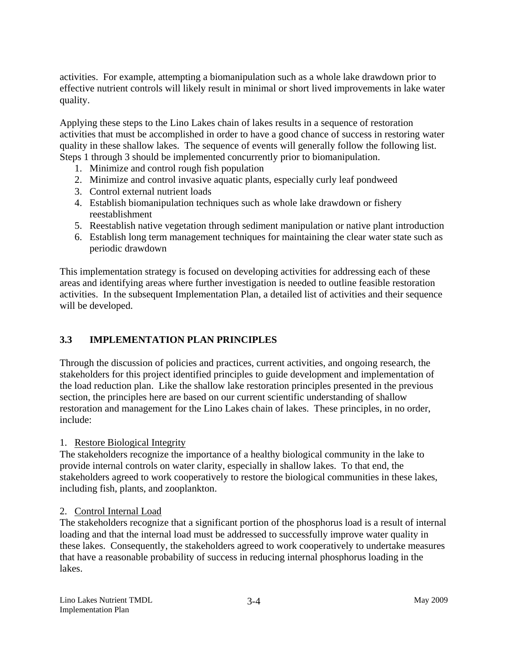activities. For example, attempting a biomanipulation such as a whole lake drawdown prior to effective nutrient controls will likely result in minimal or short lived improvements in lake water quality.

Applying these steps to the Lino Lakes chain of lakes results in a sequence of restoration activities that must be accomplished in order to have a good chance of success in restoring water quality in these shallow lakes. The sequence of events will generally follow the following list. Steps 1 through 3 should be implemented concurrently prior to biomanipulation.

- 1. Minimize and control rough fish population
- 2. Minimize and control invasive aquatic plants, especially curly leaf pondweed
- 3. Control external nutrient loads
- 4. Establish biomanipulation techniques such as whole lake drawdown or fishery reestablishment
- 5. Reestablish native vegetation through sediment manipulation or native plant introduction
- 6. Establish long term management techniques for maintaining the clear water state such as periodic drawdown

This implementation strategy is focused on developing activities for addressing each of these areas and identifying areas where further investigation is needed to outline feasible restoration activities. In the subsequent Implementation Plan, a detailed list of activities and their sequence will be developed.

## **3.3 IMPLEMENTATION PLAN PRINCIPLES**

Through the discussion of policies and practices, current activities, and ongoing research, the stakeholders for this project identified principles to guide development and implementation of the load reduction plan. Like the shallow lake restoration principles presented in the previous section, the principles here are based on our current scientific understanding of shallow restoration and management for the Lino Lakes chain of lakes. These principles, in no order, include:

#### 1. Restore Biological Integrity

The stakeholders recognize the importance of a healthy biological community in the lake to provide internal controls on water clarity, especially in shallow lakes. To that end, the stakeholders agreed to work cooperatively to restore the biological communities in these lakes, including fish, plants, and zooplankton.

#### 2. Control Internal Load

The stakeholders recognize that a significant portion of the phosphorus load is a result of internal loading and that the internal load must be addressed to successfully improve water quality in these lakes. Consequently, the stakeholders agreed to work cooperatively to undertake measures that have a reasonable probability of success in reducing internal phosphorus loading in the lakes.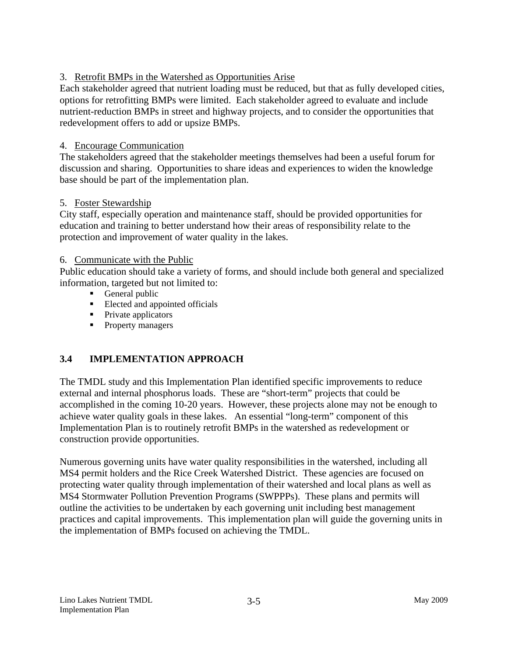## 3. Retrofit BMPs in the Watershed as Opportunities Arise

Each stakeholder agreed that nutrient loading must be reduced, but that as fully developed cities, options for retrofitting BMPs were limited. Each stakeholder agreed to evaluate and include nutrient-reduction BMPs in street and highway projects, and to consider the opportunities that redevelopment offers to add or upsize BMPs.

## 4. Encourage Communication

The stakeholders agreed that the stakeholder meetings themselves had been a useful forum for discussion and sharing. Opportunities to share ideas and experiences to widen the knowledge base should be part of the implementation plan.

## 5. Foster Stewardship

City staff, especially operation and maintenance staff, should be provided opportunities for education and training to better understand how their areas of responsibility relate to the protection and improvement of water quality in the lakes.

## 6. Communicate with the Public

Public education should take a variety of forms, and should include both general and specialized information, targeted but not limited to:

- General public
- **Elected and appointed officials**
- Private applicators
- Property managers

## **3.4 IMPLEMENTATION APPROACH**

The TMDL study and this Implementation Plan identified specific improvements to reduce external and internal phosphorus loads. These are "short-term" projects that could be accomplished in the coming 10-20 years. However, these projects alone may not be enough to achieve water quality goals in these lakes. An essential "long-term" component of this Implementation Plan is to routinely retrofit BMPs in the watershed as redevelopment or construction provide opportunities.

Numerous governing units have water quality responsibilities in the watershed, including all MS4 permit holders and the Rice Creek Watershed District. These agencies are focused on protecting water quality through implementation of their watershed and local plans as well as MS4 Stormwater Pollution Prevention Programs (SWPPPs). These plans and permits will outline the activities to be undertaken by each governing unit including best management practices and capital improvements. This implementation plan will guide the governing units in the implementation of BMPs focused on achieving the TMDL.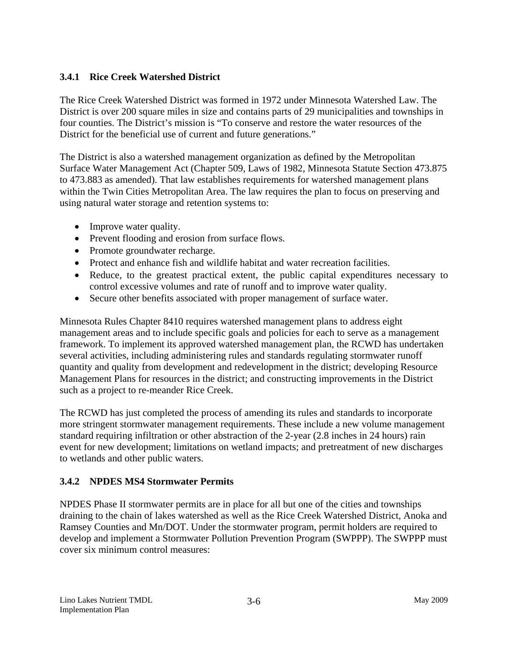## **3.4.1 Rice Creek Watershed District**

The Rice Creek Watershed District was formed in 1972 under Minnesota Watershed Law. The District is over 200 square miles in size and contains parts of 29 municipalities and townships in four counties. The District's mission is "To conserve and restore the water resources of the District for the beneficial use of current and future generations."

The District is also a watershed management organization as defined by the Metropolitan Surface Water Management Act (Chapter 509, Laws of 1982, Minnesota Statute Section 473.875 to 473.883 as amended). That law establishes requirements for watershed management plans within the Twin Cities Metropolitan Area. The law requires the plan to focus on preserving and using natural water storage and retention systems to:

- Improve water quality.
- Prevent flooding and erosion from surface flows.
- Promote groundwater recharge.
- Protect and enhance fish and wildlife habitat and water recreation facilities.
- Reduce, to the greatest practical extent, the public capital expenditures necessary to control excessive volumes and rate of runoff and to improve water quality.
- Secure other benefits associated with proper management of surface water.

Minnesota Rules Chapter 8410 requires watershed management plans to address eight management areas and to include specific goals and policies for each to serve as a management framework. To implement its approved watershed management plan, the RCWD has undertaken several activities, including administering rules and standards regulating stormwater runoff quantity and quality from development and redevelopment in the district; developing Resource Management Plans for resources in the district; and constructing improvements in the District such as a project to re-meander Rice Creek.

The RCWD has just completed the process of amending its rules and standards to incorporate more stringent stormwater management requirements. These include a new volume management standard requiring infiltration or other abstraction of the 2-year (2.8 inches in 24 hours) rain event for new development; limitations on wetland impacts; and pretreatment of new discharges to wetlands and other public waters.

#### **3.4.2 NPDES MS4 Stormwater Permits**

NPDES Phase II stormwater permits are in place for all but one of the cities and townships draining to the chain of lakes watershed as well as the Rice Creek Watershed District, Anoka and Ramsey Counties and Mn/DOT. Under the stormwater program, permit holders are required to develop and implement a Stormwater Pollution Prevention Program (SWPPP). The SWPPP must cover six minimum control measures: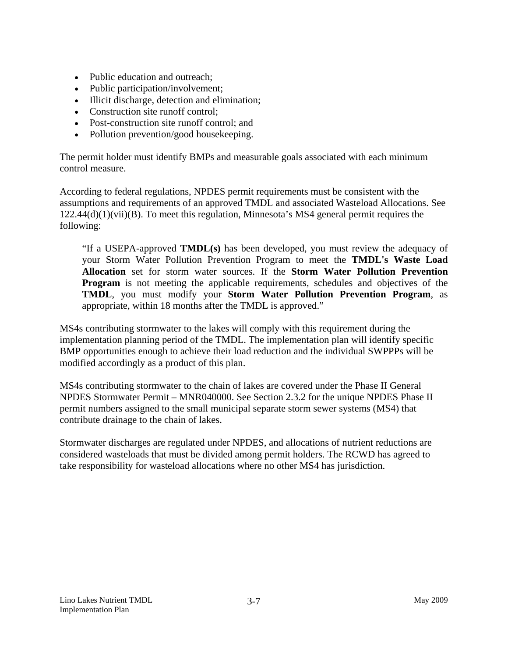- Public education and outreach:
- Public participation/involvement;
- Illicit discharge, detection and elimination;
- Construction site runoff control:
- Post-construction site runoff control; and
- Pollution prevention/good house keeping.

The permit holder must identify BMPs and measurable goals associated with each minimum control measure.

According to federal regulations, NPDES permit requirements must be consistent with the assumptions and requirements of an approved TMDL and associated Wasteload Allocations. See 122.44(d)(1)(vii)(B). To meet this regulation, Minnesota's MS4 general permit requires the following:

"If a USEPA-approved **TMDL(s)** has been developed, you must review the adequacy of your Storm Water Pollution Prevention Program to meet the **TMDL's Waste Load Allocation** set for storm water sources. If the **Storm Water Pollution Prevention Program** is not meeting the applicable requirements, schedules and objectives of the **TMDL**, you must modify your **Storm Water Pollution Prevention Program**, as appropriate, within 18 months after the TMDL is approved."

MS4s contributing stormwater to the lakes will comply with this requirement during the implementation planning period of the TMDL. The implementation plan will identify specific BMP opportunities enough to achieve their load reduction and the individual SWPPPs will be modified accordingly as a product of this plan.

MS4s contributing stormwater to the chain of lakes are covered under the Phase II General NPDES Stormwater Permit – MNR040000. See Section 2.3.2 for the unique NPDES Phase II permit numbers assigned to the small municipal separate storm sewer systems (MS4) that contribute drainage to the chain of lakes.

Stormwater discharges are regulated under NPDES, and allocations of nutrient reductions are considered wasteloads that must be divided among permit holders. The RCWD has agreed to take responsibility for wasteload allocations where no other MS4 has jurisdiction.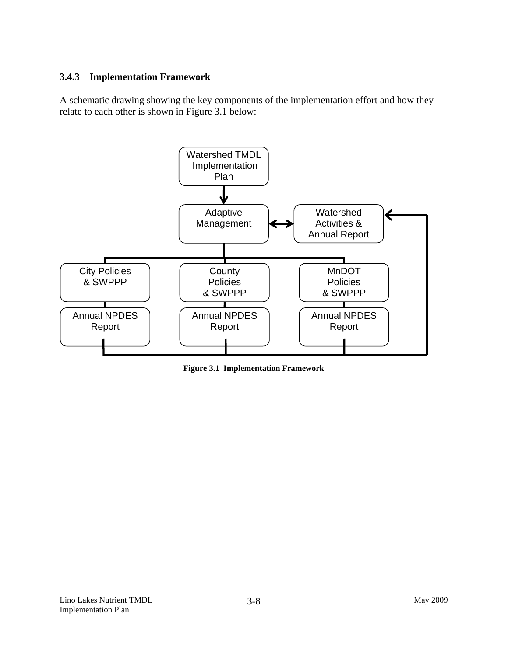#### **3.4.3 Implementation Framework**

A schematic drawing showing the key components of the implementation effort and how they relate to each other is shown in Figure 3.1 below:



**Figure 3.1 Implementation Framework**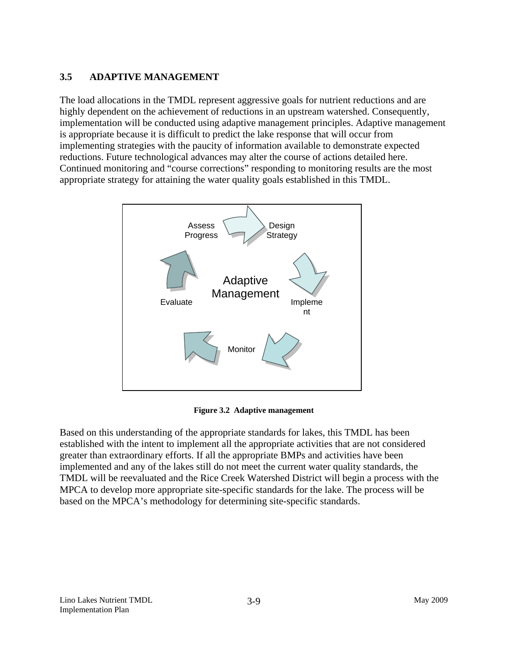## **3.5 ADAPTIVE MANAGEMENT**

The load allocations in the TMDL represent aggressive goals for nutrient reductions and are highly dependent on the achievement of reductions in an upstream watershed. Consequently, implementation will be conducted using adaptive management principles. Adaptive management is appropriate because it is difficult to predict the lake response that will occur from implementing strategies with the paucity of information available to demonstrate expected reductions. Future technological advances may alter the course of actions detailed here. Continued monitoring and "course corrections" responding to monitoring results are the most appropriate strategy for attaining the water quality goals established in this TMDL.



**Figure 3.2 Adaptive management** 

Based on this understanding of the appropriate standards for lakes, this TMDL has been established with the intent to implement all the appropriate activities that are not considered greater than extraordinary efforts. If all the appropriate BMPs and activities have been implemented and any of the lakes still do not meet the current water quality standards, the TMDL will be reevaluated and the Rice Creek Watershed District will begin a process with the MPCA to develop more appropriate site-specific standards for the lake. The process will be based on the MPCA's methodology for determining site-specific standards.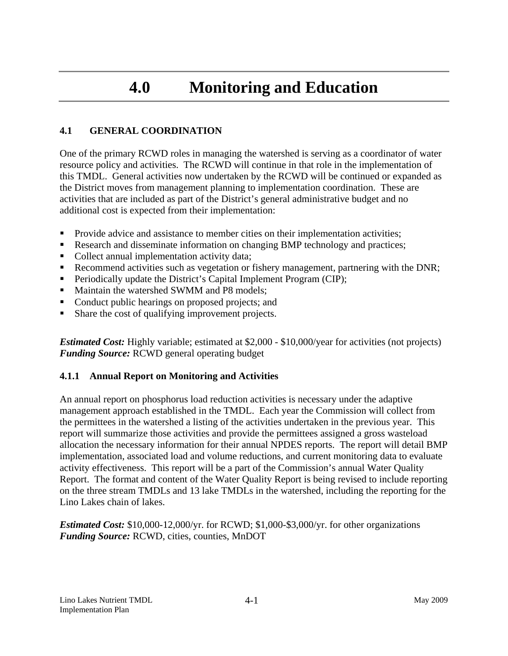## **4.0 Monitoring and Education**

#### **4.1 GENERAL COORDINATION**

One of the primary RCWD roles in managing the watershed is serving as a coordinator of water resource policy and activities. The RCWD will continue in that role in the implementation of this TMDL. General activities now undertaken by the RCWD will be continued or expanded as the District moves from management planning to implementation coordination. These are activities that are included as part of the District's general administrative budget and no additional cost is expected from their implementation:

- **Provide advice and assistance to member cities on their implementation activities;**
- **Research and disseminate information on changing BMP technology and practices;**
- Collect annual implementation activity data;
- Recommend activities such as vegetation or fishery management, partnering with the DNR;
- **Periodically update the District's Capital Implement Program (CIP);**
- Maintain the watershed SWMM and P8 models;
- Conduct public hearings on proposed projects; and
- Share the cost of qualifying improvement projects.

*Estimated Cost:* Highly variable; estimated at \$2,000 - \$10,000/year for activities (not projects) *Funding Source:* RCWD general operating budget

#### **4.1.1 Annual Report on Monitoring and Activities**

An annual report on phosphorus load reduction activities is necessary under the adaptive management approach established in the TMDL. Each year the Commission will collect from the permittees in the watershed a listing of the activities undertaken in the previous year. This report will summarize those activities and provide the permittees assigned a gross wasteload allocation the necessary information for their annual NPDES reports. The report will detail BMP implementation, associated load and volume reductions, and current monitoring data to evaluate activity effectiveness. This report will be a part of the Commission's annual Water Quality Report. The format and content of the Water Quality Report is being revised to include reporting on the three stream TMDLs and 13 lake TMDLs in the watershed, including the reporting for the Lino Lakes chain of lakes.

*Estimated Cost:* \$10,000-12,000/yr. for RCWD; \$1,000-\$3,000/yr. for other organizations *Funding Source:* RCWD, cities, counties, MnDOT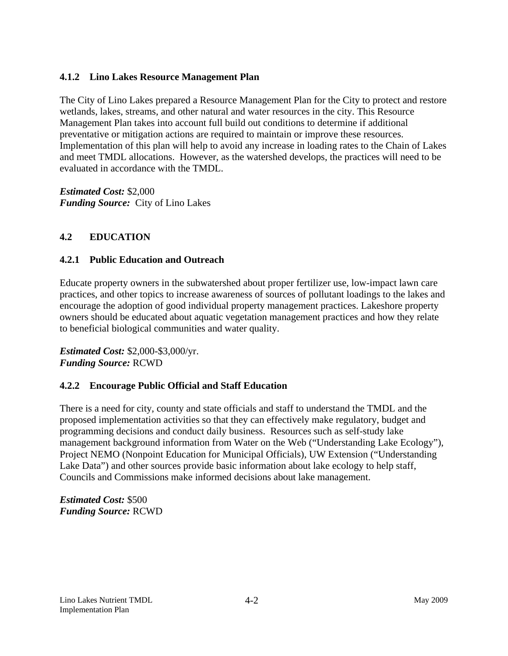#### **4.1.2 Lino Lakes Resource Management Plan**

The City of Lino Lakes prepared a Resource Management Plan for the City to protect and restore wetlands, lakes, streams, and other natural and water resources in the city. This Resource Management Plan takes into account full build out conditions to determine if additional preventative or mitigation actions are required to maintain or improve these resources. Implementation of this plan will help to avoid any increase in loading rates to the Chain of Lakes and meet TMDL allocations. However, as the watershed develops, the practices will need to be evaluated in accordance with the TMDL.

*Estimated Cost:* \$2,000 *Funding Source:* City of Lino Lakes

## **4.2 EDUCATION**

#### **4.2.1 Public Education and Outreach**

Educate property owners in the subwatershed about proper fertilizer use, low-impact lawn care practices, and other topics to increase awareness of sources of pollutant loadings to the lakes and encourage the adoption of good individual property management practices. Lakeshore property owners should be educated about aquatic vegetation management practices and how they relate to beneficial biological communities and water quality.

*Estimated Cost:* \$2,000-\$3,000/yr. *Funding Source:* RCWD

#### **4.2.2 Encourage Public Official and Staff Education**

There is a need for city, county and state officials and staff to understand the TMDL and the proposed implementation activities so that they can effectively make regulatory, budget and programming decisions and conduct daily business. Resources such as self-study lake management background information from Water on the Web ("Understanding Lake Ecology"), Project NEMO (Nonpoint Education for Municipal Officials), UW Extension ("Understanding Lake Data") and other sources provide basic information about lake ecology to help staff, Councils and Commissions make informed decisions about lake management.

*Estimated Cost:* \$500 *Funding Source:* RCWD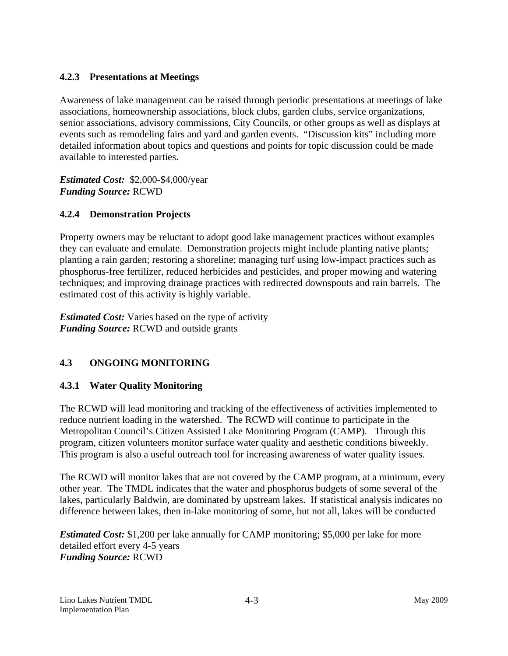## **4.2.3 Presentations at Meetings**

Awareness of lake management can be raised through periodic presentations at meetings of lake associations, homeownership associations, block clubs, garden clubs, service organizations, senior associations, advisory commissions, City Councils, or other groups as well as displays at events such as remodeling fairs and yard and garden events. "Discussion kits" including more detailed information about topics and questions and points for topic discussion could be made available to interested parties.

*Estimated Cost:* \$2,000-\$4,000/year *Funding Source:* RCWD

## **4.2.4 Demonstration Projects**

Property owners may be reluctant to adopt good lake management practices without examples they can evaluate and emulate. Demonstration projects might include planting native plants; planting a rain garden; restoring a shoreline; managing turf using low-impact practices such as phosphorus-free fertilizer, reduced herbicides and pesticides, and proper mowing and watering techniques; and improving drainage practices with redirected downspouts and rain barrels. The estimated cost of this activity is highly variable.

*Estimated Cost:* Varies based on the type of activity *Funding Source:* RCWD and outside grants

## **4.3 ONGOING MONITORING**

#### **4.3.1 Water Quality Monitoring**

The RCWD will lead monitoring and tracking of the effectiveness of activities implemented to reduce nutrient loading in the watershed. The RCWD will continue to participate in the Metropolitan Council's Citizen Assisted Lake Monitoring Program (CAMP). Through this program, citizen volunteers monitor surface water quality and aesthetic conditions biweekly. This program is also a useful outreach tool for increasing awareness of water quality issues.

The RCWD will monitor lakes that are not covered by the CAMP program, at a minimum, every other year. The TMDL indicates that the water and phosphorus budgets of some several of the lakes, particularly Baldwin, are dominated by upstream lakes. If statistical analysis indicates no difference between lakes, then in-lake monitoring of some, but not all, lakes will be conducted

*Estimated Cost:* \$1,200 per lake annually for CAMP monitoring; \$5,000 per lake for more detailed effort every 4-5 years *Funding Source:* RCWD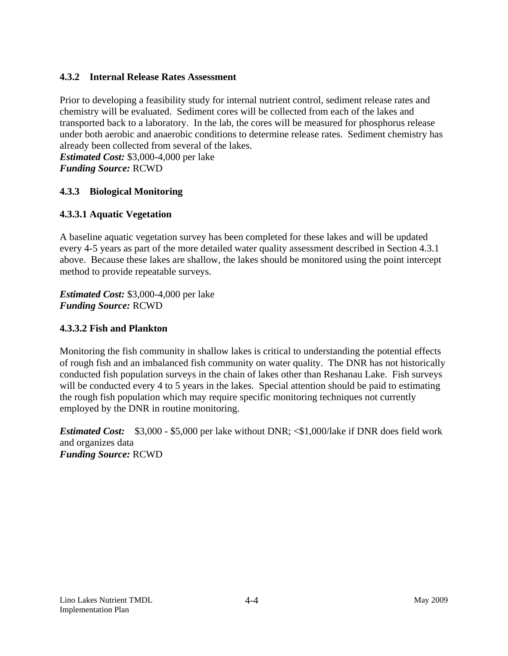#### **4.3.2 Internal Release Rates Assessment**

Prior to developing a feasibility study for internal nutrient control, sediment release rates and chemistry will be evaluated. Sediment cores will be collected from each of the lakes and transported back to a laboratory. In the lab, the cores will be measured for phosphorus release under both aerobic and anaerobic conditions to determine release rates. Sediment chemistry has already been collected from several of the lakes.

*Estimated Cost:* \$3,000-4,000 per lake *Funding Source:* RCWD

## **4.3.3 Biological Monitoring**

#### **4.3.3.1 Aquatic Vegetation**

A baseline aquatic vegetation survey has been completed for these lakes and will be updated every 4-5 years as part of the more detailed water quality assessment described in Section 4.3.1 above. Because these lakes are shallow, the lakes should be monitored using the point intercept method to provide repeatable surveys.

*Estimated Cost:* \$3,000-4,000 per lake *Funding Source:* RCWD

#### **4.3.3.2 Fish and Plankton**

Monitoring the fish community in shallow lakes is critical to understanding the potential effects of rough fish and an imbalanced fish community on water quality. The DNR has not historically conducted fish population surveys in the chain of lakes other than Reshanau Lake. Fish surveys will be conducted every 4 to 5 years in the lakes. Special attention should be paid to estimating the rough fish population which may require specific monitoring techniques not currently employed by the DNR in routine monitoring.

*Estimated Cost:* \$3,000 - \$5,000 per lake without DNR;  $\le$  \$1,000/lake if DNR does field work and organizes data *Funding Source:* RCWD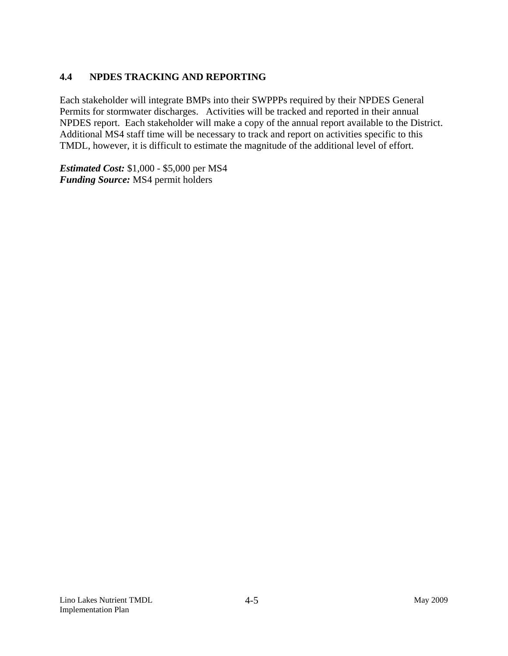## **4.4 NPDES TRACKING AND REPORTING**

Each stakeholder will integrate BMPs into their SWPPPs required by their NPDES General Permits for stormwater discharges. Activities will be tracked and reported in their annual NPDES report. Each stakeholder will make a copy of the annual report available to the District. Additional MS4 staff time will be necessary to track and report on activities specific to this TMDL, however, it is difficult to estimate the magnitude of the additional level of effort.

*Estimated Cost:* \$1,000 - \$5,000 per MS4 *Funding Source:* MS4 permit holders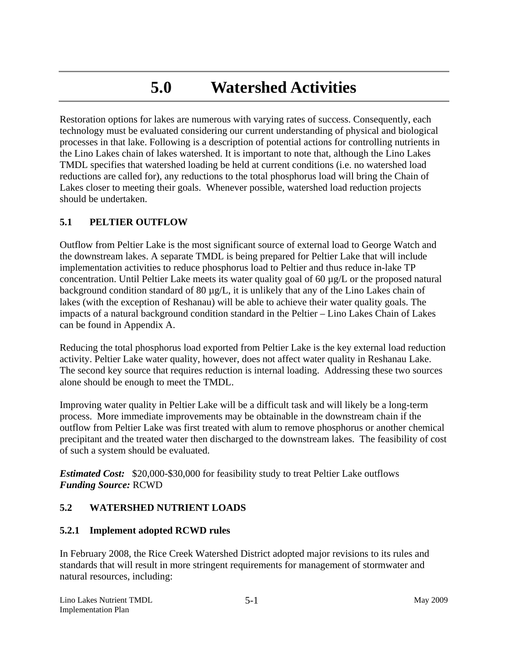## **5.0 Watershed Activities**

Restoration options for lakes are numerous with varying rates of success. Consequently, each technology must be evaluated considering our current understanding of physical and biological processes in that lake. Following is a description of potential actions for controlling nutrients in the Lino Lakes chain of lakes watershed. It is important to note that, although the Lino Lakes TMDL specifies that watershed loading be held at current conditions (i.e. no watershed load reductions are called for), any reductions to the total phosphorus load will bring the Chain of Lakes closer to meeting their goals. Whenever possible, watershed load reduction projects should be undertaken.

#### **5.1 PELTIER OUTFLOW**

Outflow from Peltier Lake is the most significant source of external load to George Watch and the downstream lakes. A separate TMDL is being prepared for Peltier Lake that will include implementation activities to reduce phosphorus load to Peltier and thus reduce in-lake TP concentration. Until Peltier Lake meets its water quality goal of 60 µg/L or the proposed natural background condition standard of 80  $\mu$ g/L, it is unlikely that any of the Lino Lakes chain of lakes (with the exception of Reshanau) will be able to achieve their water quality goals. The impacts of a natural background condition standard in the Peltier – Lino Lakes Chain of Lakes can be found in Appendix A.

Reducing the total phosphorus load exported from Peltier Lake is the key external load reduction activity. Peltier Lake water quality, however, does not affect water quality in Reshanau Lake. The second key source that requires reduction is internal loading. Addressing these two sources alone should be enough to meet the TMDL.

Improving water quality in Peltier Lake will be a difficult task and will likely be a long-term process. More immediate improvements may be obtainable in the downstream chain if the outflow from Peltier Lake was first treated with alum to remove phosphorus or another chemical precipitant and the treated water then discharged to the downstream lakes. The feasibility of cost of such a system should be evaluated.

*Estimated Cost:* \$20,000-\$30,000 for feasibility study to treat Peltier Lake outflows *Funding Source:* RCWD

## **5.2 WATERSHED NUTRIENT LOADS**

#### **5.2.1 Implement adopted RCWD rules**

In February 2008, the Rice Creek Watershed District adopted major revisions to its rules and standards that will result in more stringent requirements for management of stormwater and natural resources, including: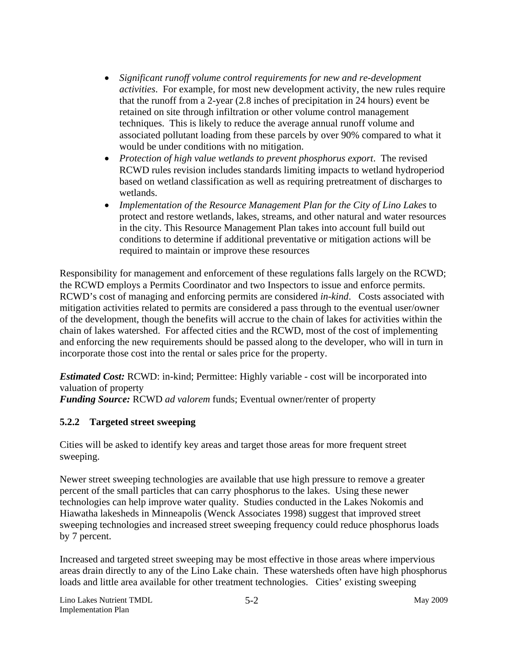- *Significant runoff volume control requirements for new and re-development activities*. For example, for most new development activity, the new rules require that the runoff from a 2-year (2.8 inches of precipitation in 24 hours) event be retained on site through infiltration or other volume control management techniques. This is likely to reduce the average annual runoff volume and associated pollutant loading from these parcels by over 90% compared to what it would be under conditions with no mitigation.
- *Protection of high value wetlands to prevent phosphorus export*. The revised RCWD rules revision includes standards limiting impacts to wetland hydroperiod based on wetland classification as well as requiring pretreatment of discharges to wetlands.
- *Implementation of the Resource Management Plan for the City of Lino Lakes* to protect and restore wetlands, lakes, streams, and other natural and water resources in the city. This Resource Management Plan takes into account full build out conditions to determine if additional preventative or mitigation actions will be required to maintain or improve these resources

Responsibility for management and enforcement of these regulations falls largely on the RCWD; the RCWD employs a Permits Coordinator and two Inspectors to issue and enforce permits. RCWD's cost of managing and enforcing permits are considered *in-kind*. Costs associated with mitigation activities related to permits are considered a pass through to the eventual user/owner of the development, though the benefits will accrue to the chain of lakes for activities within the chain of lakes watershed. For affected cities and the RCWD, most of the cost of implementing and enforcing the new requirements should be passed along to the developer, who will in turn in incorporate those cost into the rental or sales price for the property.

*Estimated Cost:* RCWD: in-kind; Permittee: Highly variable - cost will be incorporated into valuation of property

*Funding Source:* RCWD *ad valorem* funds; Eventual owner/renter of property

## **5.2.2 Targeted street sweeping**

Cities will be asked to identify key areas and target those areas for more frequent street sweeping.

Newer street sweeping technologies are available that use high pressure to remove a greater percent of the small particles that can carry phosphorus to the lakes. Using these newer technologies can help improve water quality. Studies conducted in the Lakes Nokomis and Hiawatha lakesheds in Minneapolis (Wenck Associates 1998) suggest that improved street sweeping technologies and increased street sweeping frequency could reduce phosphorus loads by 7 percent.

Increased and targeted street sweeping may be most effective in those areas where impervious areas drain directly to any of the Lino Lake chain. These watersheds often have high phosphorus loads and little area available for other treatment technologies. Cities' existing sweeping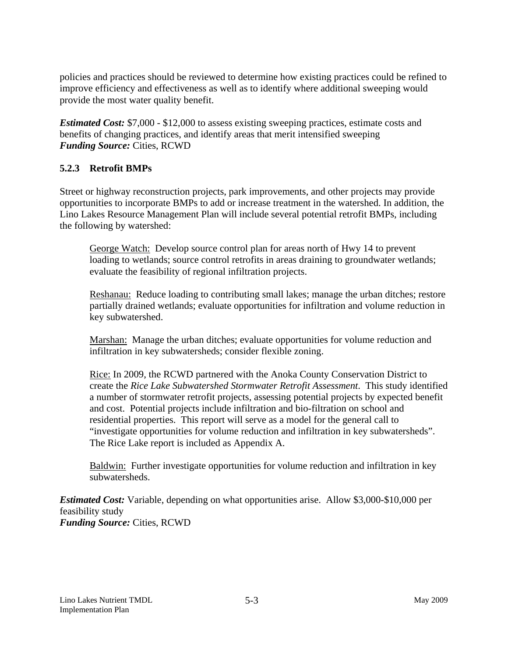policies and practices should be reviewed to determine how existing practices could be refined to improve efficiency and effectiveness as well as to identify where additional sweeping would provide the most water quality benefit.

*Estimated Cost:* \$7,000 - \$12,000 to assess existing sweeping practices, estimate costs and benefits of changing practices, and identify areas that merit intensified sweeping *Funding Source:* Cities, RCWD

## **5.2.3 Retrofit BMPs**

Street or highway reconstruction projects, park improvements, and other projects may provide opportunities to incorporate BMPs to add or increase treatment in the watershed. In addition, the Lino Lakes Resource Management Plan will include several potential retrofit BMPs, including the following by watershed:

George Watch: Develop source control plan for areas north of Hwy 14 to prevent loading to wetlands; source control retrofits in areas draining to groundwater wetlands; evaluate the feasibility of regional infiltration projects.

Reshanau: Reduce loading to contributing small lakes; manage the urban ditches; restore partially drained wetlands; evaluate opportunities for infiltration and volume reduction in key subwatershed.

Marshan: Manage the urban ditches; evaluate opportunities for volume reduction and infiltration in key subwatersheds; consider flexible zoning.

Rice: In 2009, the RCWD partnered with the Anoka County Conservation District to create the *Rice Lake Subwatershed Stormwater Retrofit Assessment*. This study identified a number of stormwater retrofit projects, assessing potential projects by expected benefit and cost. Potential projects include infiltration and bio-filtration on school and residential properties. This report will serve as a model for the general call to "investigate opportunities for volume reduction and infiltration in key subwatersheds". The Rice Lake report is included as Appendix A.

Baldwin: Further investigate opportunities for volume reduction and infiltration in key subwatersheds.

*Estimated Cost:* Variable, depending on what opportunities arise. Allow \$3,000-\$10,000 per feasibility study *Funding Source:* Cities, RCWD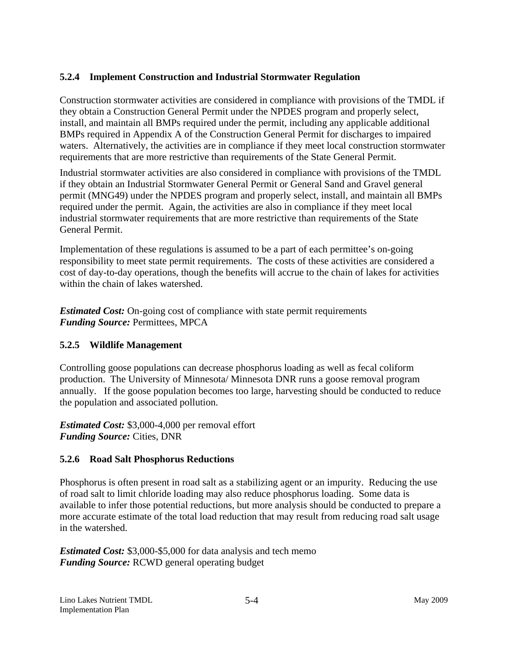## **5.2.4 Implement Construction and Industrial Stormwater Regulation**

Construction stormwater activities are considered in compliance with provisions of the TMDL if they obtain a Construction General Permit under the NPDES program and properly select, install, and maintain all BMPs required under the permit, including any applicable additional BMPs required in Appendix A of the Construction General Permit for discharges to impaired waters. Alternatively, the activities are in compliance if they meet local construction stormwater requirements that are more restrictive than requirements of the State General Permit.

Industrial stormwater activities are also considered in compliance with provisions of the TMDL if they obtain an Industrial Stormwater General Permit or General Sand and Gravel general permit (MNG49) under the NPDES program and properly select, install, and maintain all BMPs required under the permit. Again, the activities are also in compliance if they meet local industrial stormwater requirements that are more restrictive than requirements of the State General Permit.

Implementation of these regulations is assumed to be a part of each permittee's on-going responsibility to meet state permit requirements. The costs of these activities are considered a cost of day-to-day operations, though the benefits will accrue to the chain of lakes for activities within the chain of lakes watershed.

*Estimated Cost:* On-going cost of compliance with state permit requirements *Funding Source:* Permittees, MPCA

#### **5.2.5 Wildlife Management**

Controlling goose populations can decrease phosphorus loading as well as fecal coliform production. The University of Minnesota/ Minnesota DNR runs a goose removal program annually. If the goose population becomes too large, harvesting should be conducted to reduce the population and associated pollution.

*Estimated Cost:* \$3,000-4,000 per removal effort *Funding Source:* Cities, DNR

#### **5.2.6 Road Salt Phosphorus Reductions**

Phosphorus is often present in road salt as a stabilizing agent or an impurity. Reducing the use of road salt to limit chloride loading may also reduce phosphorus loading. Some data is available to infer those potential reductions, but more analysis should be conducted to prepare a more accurate estimate of the total load reduction that may result from reducing road salt usage in the watershed.

*Estimated Cost:* \$3,000-\$5,000 for data analysis and tech memo *Funding Source:* RCWD general operating budget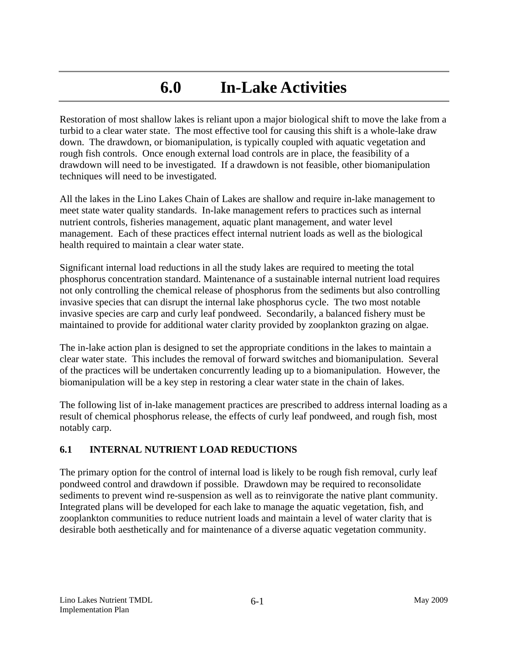## **6.0 In-Lake Activities**

Restoration of most shallow lakes is reliant upon a major biological shift to move the lake from a turbid to a clear water state. The most effective tool for causing this shift is a whole-lake draw down. The drawdown, or biomanipulation, is typically coupled with aquatic vegetation and rough fish controls. Once enough external load controls are in place, the feasibility of a drawdown will need to be investigated. If a drawdown is not feasible, other biomanipulation techniques will need to be investigated.

All the lakes in the Lino Lakes Chain of Lakes are shallow and require in-lake management to meet state water quality standards. In-lake management refers to practices such as internal nutrient controls, fisheries management, aquatic plant management, and water level management. Each of these practices effect internal nutrient loads as well as the biological health required to maintain a clear water state.

Significant internal load reductions in all the study lakes are required to meeting the total phosphorus concentration standard. Maintenance of a sustainable internal nutrient load requires not only controlling the chemical release of phosphorus from the sediments but also controlling invasive species that can disrupt the internal lake phosphorus cycle. The two most notable invasive species are carp and curly leaf pondweed. Secondarily, a balanced fishery must be maintained to provide for additional water clarity provided by zooplankton grazing on algae.

The in-lake action plan is designed to set the appropriate conditions in the lakes to maintain a clear water state. This includes the removal of forward switches and biomanipulation. Several of the practices will be undertaken concurrently leading up to a biomanipulation. However, the biomanipulation will be a key step in restoring a clear water state in the chain of lakes.

The following list of in-lake management practices are prescribed to address internal loading as a result of chemical phosphorus release, the effects of curly leaf pondweed, and rough fish, most notably carp.

## **6.1 INTERNAL NUTRIENT LOAD REDUCTIONS**

The primary option for the control of internal load is likely to be rough fish removal, curly leaf pondweed control and drawdown if possible. Drawdown may be required to reconsolidate sediments to prevent wind re-suspension as well as to reinvigorate the native plant community. Integrated plans will be developed for each lake to manage the aquatic vegetation, fish, and zooplankton communities to reduce nutrient loads and maintain a level of water clarity that is desirable both aesthetically and for maintenance of a diverse aquatic vegetation community.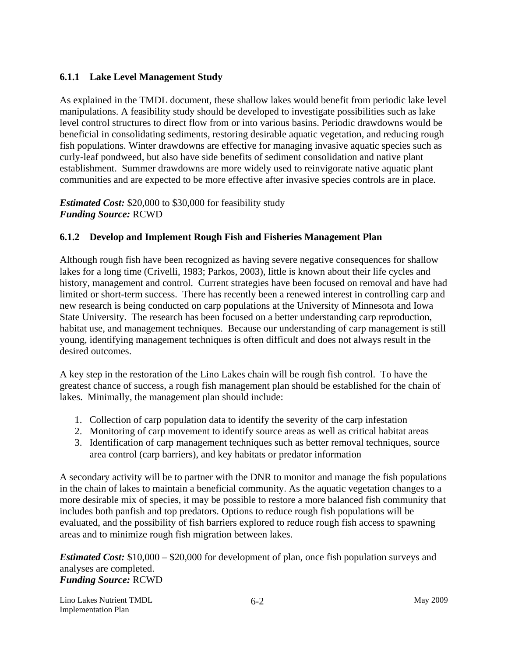## **6.1.1 Lake Level Management Study**

As explained in the TMDL document, these shallow lakes would benefit from periodic lake level manipulations. A feasibility study should be developed to investigate possibilities such as lake level control structures to direct flow from or into various basins. Periodic drawdowns would be beneficial in consolidating sediments, restoring desirable aquatic vegetation, and reducing rough fish populations. Winter drawdowns are effective for managing invasive aquatic species such as curly-leaf pondweed, but also have side benefits of sediment consolidation and native plant establishment. Summer drawdowns are more widely used to reinvigorate native aquatic plant communities and are expected to be more effective after invasive species controls are in place.

*Estimated Cost:* \$20,000 to \$30,000 for feasibility study *Funding Source:* RCWD

## **6.1.2 Develop and Implement Rough Fish and Fisheries Management Plan**

Although rough fish have been recognized as having severe negative consequences for shallow lakes for a long time (Crivelli, 1983; Parkos, 2003), little is known about their life cycles and history, management and control. Current strategies have been focused on removal and have had limited or short-term success. There has recently been a renewed interest in controlling carp and new research is being conducted on carp populations at the University of Minnesota and Iowa State University. The research has been focused on a better understanding carp reproduction, habitat use, and management techniques. Because our understanding of carp management is still young, identifying management techniques is often difficult and does not always result in the desired outcomes.

A key step in the restoration of the Lino Lakes chain will be rough fish control. To have the greatest chance of success, a rough fish management plan should be established for the chain of lakes. Minimally, the management plan should include:

- 1. Collection of carp population data to identify the severity of the carp infestation
- 2. Monitoring of carp movement to identify source areas as well as critical habitat areas
- 3. Identification of carp management techniques such as better removal techniques, source area control (carp barriers), and key habitats or predator information

A secondary activity will be to partner with the DNR to monitor and manage the fish populations in the chain of lakes to maintain a beneficial community. As the aquatic vegetation changes to a more desirable mix of species, it may be possible to restore a more balanced fish community that includes both panfish and top predators. Options to reduce rough fish populations will be evaluated, and the possibility of fish barriers explored to reduce rough fish access to spawning areas and to minimize rough fish migration between lakes.

*Estimated Cost:* \$10,000 – \$20,000 for development of plan, once fish population surveys and analyses are completed. *Funding Source:* RCWD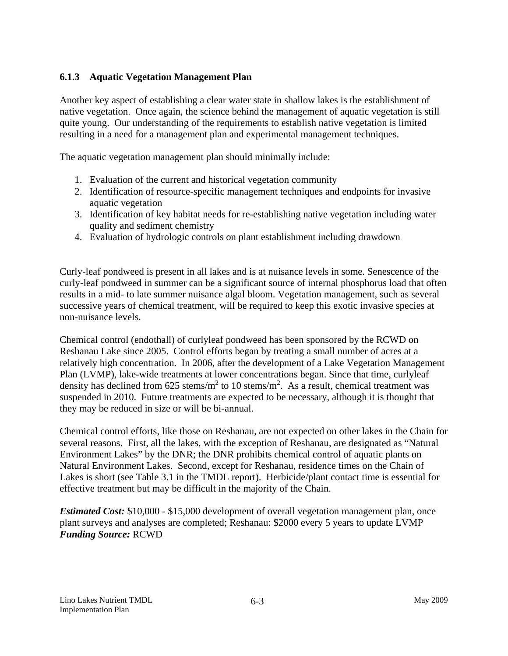#### **6.1.3 Aquatic Vegetation Management Plan**

Another key aspect of establishing a clear water state in shallow lakes is the establishment of native vegetation. Once again, the science behind the management of aquatic vegetation is still quite young. Our understanding of the requirements to establish native vegetation is limited resulting in a need for a management plan and experimental management techniques.

The aquatic vegetation management plan should minimally include:

- 1. Evaluation of the current and historical vegetation community
- 2. Identification of resource-specific management techniques and endpoints for invasive aquatic vegetation
- 3. Identification of key habitat needs for re-establishing native vegetation including water quality and sediment chemistry
- 4. Evaluation of hydrologic controls on plant establishment including drawdown

Curly-leaf pondweed is present in all lakes and is at nuisance levels in some. Senescence of the curly-leaf pondweed in summer can be a significant source of internal phosphorus load that often results in a mid- to late summer nuisance algal bloom. Vegetation management, such as several successive years of chemical treatment, will be required to keep this exotic invasive species at non-nuisance levels.

Chemical control (endothall) of curlyleaf pondweed has been sponsored by the RCWD on Reshanau Lake since 2005. Control efforts began by treating a small number of acres at a relatively high concentration. In 2006, after the development of a Lake Vegetation Management Plan (LVMP), lake-wide treatments at lower concentrations began. Since that time, curlyleaf density has declined from 625 stems/ $m^2$  to 10 stems/ $m^2$ . As a result, chemical treatment was suspended in 2010. Future treatments are expected to be necessary, although it is thought that they may be reduced in size or will be bi-annual.

Chemical control efforts, like those on Reshanau, are not expected on other lakes in the Chain for several reasons. First, all the lakes, with the exception of Reshanau, are designated as "Natural Environment Lakes" by the DNR; the DNR prohibits chemical control of aquatic plants on Natural Environment Lakes. Second, except for Reshanau, residence times on the Chain of Lakes is short (see Table 3.1 in the TMDL report). Herbicide/plant contact time is essential for effective treatment but may be difficult in the majority of the Chain.

*Estimated Cost:* \$10,000 - \$15,000 development of overall vegetation management plan, once plant surveys and analyses are completed; Reshanau: \$2000 every 5 years to update LVMP *Funding Source:* RCWD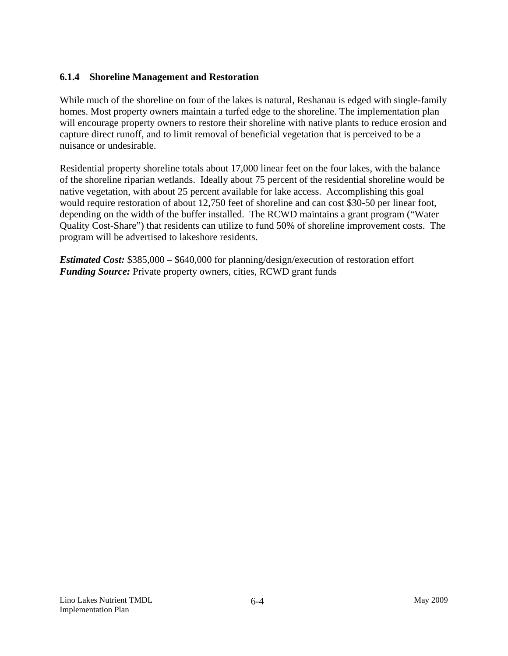#### **6.1.4 Shoreline Management and Restoration**

While much of the shoreline on four of the lakes is natural, Reshanau is edged with single-family homes. Most property owners maintain a turfed edge to the shoreline. The implementation plan will encourage property owners to restore their shoreline with native plants to reduce erosion and capture direct runoff, and to limit removal of beneficial vegetation that is perceived to be a nuisance or undesirable.

Residential property shoreline totals about 17,000 linear feet on the four lakes, with the balance of the shoreline riparian wetlands. Ideally about 75 percent of the residential shoreline would be native vegetation, with about 25 percent available for lake access. Accomplishing this goal would require restoration of about 12,750 feet of shoreline and can cost \$30-50 per linear foot, depending on the width of the buffer installed. The RCWD maintains a grant program ("Water Quality Cost-Share") that residents can utilize to fund 50% of shoreline improvement costs. The program will be advertised to lakeshore residents.

*Estimated Cost:* \$385,000 – \$640,000 for planning/design/execution of restoration effort *Funding Source:* Private property owners, cities, RCWD grant funds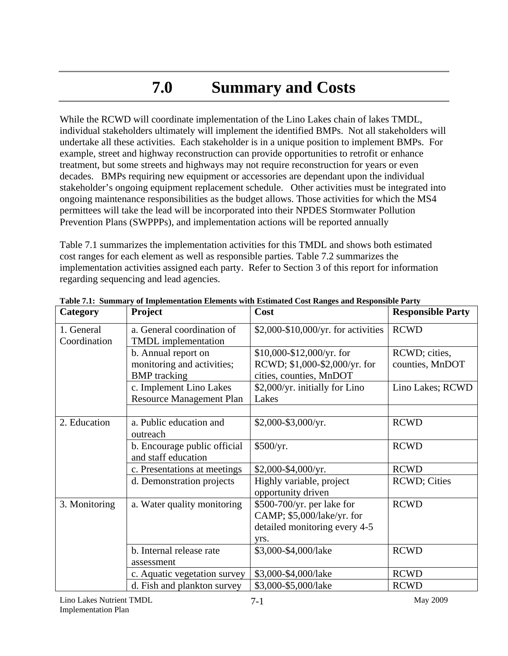## **7.0 Summary and Costs**

While the RCWD will coordinate implementation of the Lino Lakes chain of lakes TMDL, individual stakeholders ultimately will implement the identified BMPs. Not all stakeholders will undertake all these activities. Each stakeholder is in a unique position to implement BMPs. For example, street and highway reconstruction can provide opportunities to retrofit or enhance treatment, but some streets and highways may not require reconstruction for years or even decades. BMPs requiring new equipment or accessories are dependant upon the individual stakeholder's ongoing equipment replacement schedule. Other activities must be integrated into ongoing maintenance responsibilities as the budget allows. Those activities for which the MS4 permittees will take the lead will be incorporated into their NPDES Stormwater Pollution Prevention Plans (SWPPPs), and implementation actions will be reported annually

Table 7.1 summarizes the implementation activities for this TMDL and shows both estimated cost ranges for each element as well as responsible parties. Table 7.2 summarizes the implementation activities assigned each party. Refer to Section 3 of this report for information regarding sequencing and lead agencies.

| Category                   | Project                                                                  | Cost                                                                                              | <b>Responsible Party</b>         |
|----------------------------|--------------------------------------------------------------------------|---------------------------------------------------------------------------------------------------|----------------------------------|
| 1. General<br>Coordination | a. General coordination of<br><b>TMDL</b> implementation                 | \$2,000-\$10,000/yr. for activities                                                               | <b>RCWD</b>                      |
|                            | b. Annual report on<br>monitoring and activities;<br><b>BMP</b> tracking | $$10,000-\$12,000/\text{yr}}$ . for<br>RCWD; \$1,000-\$2,000/yr. for<br>cities, counties, MnDOT   | RCWD; cities,<br>counties, MnDOT |
|                            | c. Implement Lino Lakes<br><b>Resource Management Plan</b>               | \$2,000/yr. initially for Lino<br>Lakes                                                           | Lino Lakes; RCWD                 |
| 2. Education               | a. Public education and<br>outreach                                      | $$2,000-\$3,000/\text{yr}.$                                                                       | <b>RCWD</b>                      |
|                            | b. Encourage public official<br>and staff education                      | \$500/yr.                                                                                         | <b>RCWD</b>                      |
|                            | c. Presentations at meetings                                             | $$2,000-\$4,000/\text{yr}.$                                                                       | <b>RCWD</b>                      |
|                            | d. Demonstration projects                                                | Highly variable, project<br>opportunity driven                                                    | <b>RCWD</b> ; Cities             |
| 3. Monitoring              | a. Water quality monitoring                                              | \$500-700/yr. per lake for<br>CAMP; \$5,000/lake/yr. for<br>detailed monitoring every 4-5<br>yrs. | <b>RCWD</b>                      |
|                            | b. Internal release rate<br>assessment                                   | \$3,000-\$4,000/lake                                                                              | <b>RCWD</b>                      |
|                            | c. Aquatic vegetation survey                                             | \$3,000-\$4,000/lake                                                                              | <b>RCWD</b>                      |
|                            | d. Fish and plankton survey                                              | \$3,000-\$5,000/lake                                                                              | <b>RCWD</b>                      |

**Table 7.1: Summary of Implementation Elements with Estimated Cost Ranges and Responsible Party**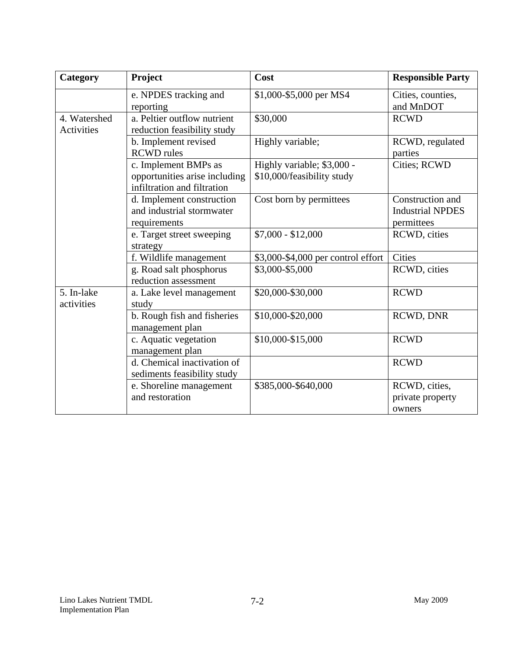| Category                   | Project                                                                              | Cost                                                     | <b>Responsible Party</b>                                  |
|----------------------------|--------------------------------------------------------------------------------------|----------------------------------------------------------|-----------------------------------------------------------|
|                            | e. NPDES tracking and<br>reporting                                                   | \$1,000-\$5,000 per MS4                                  | Cities, counties,<br>and MnDOT                            |
| 4. Watershed<br>Activities | a. Peltier outflow nutrient<br>reduction feasibility study                           | \$30,000                                                 | <b>RCWD</b>                                               |
|                            | b. Implement revised<br><b>RCWD</b> rules                                            | Highly variable;                                         | RCWD, regulated<br>parties                                |
|                            | c. Implement BMPs as<br>opportunities arise including<br>infiltration and filtration | Highly variable; \$3,000 -<br>\$10,000/feasibility study | Cities; RCWD                                              |
|                            | d. Implement construction<br>and industrial stormwater<br>requirements               | Cost born by permittees                                  | Construction and<br><b>Industrial NPDES</b><br>permittees |
|                            | e. Target street sweeping<br>strategy                                                | $$7,000 - $12,000$                                       | RCWD, cities                                              |
|                            | f. Wildlife management                                                               | \$3,000-\$4,000 per control effort                       | Cities                                                    |
|                            | g. Road salt phosphorus<br>reduction assessment                                      | \$3,000-\$5,000                                          | RCWD, cities                                              |
| 5. In-lake<br>activities   | a. Lake level management<br>study                                                    | \$20,000-\$30,000                                        | <b>RCWD</b>                                               |
|                            | b. Rough fish and fisheries<br>management plan                                       | \$10,000-\$20,000                                        | RCWD, DNR                                                 |
|                            | c. Aquatic vegetation<br>management plan                                             | \$10,000-\$15,000                                        | <b>RCWD</b>                                               |
|                            | d. Chemical inactivation of<br>sediments feasibility study                           |                                                          | <b>RCWD</b>                                               |
|                            | e. Shoreline management<br>and restoration                                           | \$385,000-\$640,000                                      | RCWD, cities,<br>private property<br>owners               |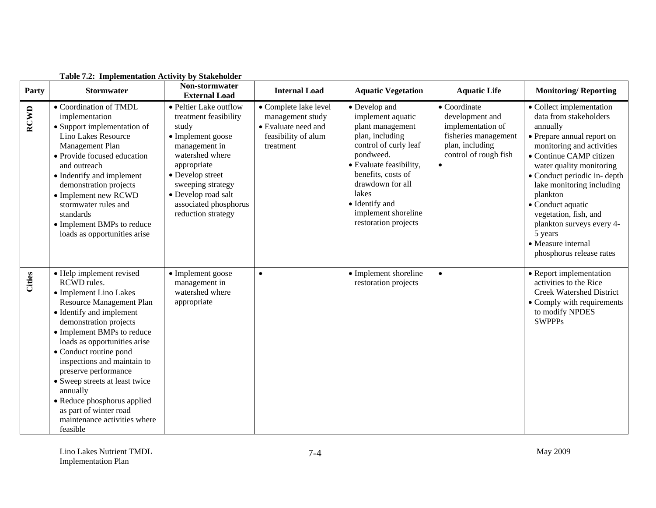| Party       | <b>Stormwater</b>                                                                                                                                                                                                                                                                                                                                                                                                                                     | Non-stormwater<br><b>External Load</b>                                                                                                                                                                                                          | <b>Internal Load</b>                                                                                 | <b>Aquatic Vegetation</b>                                                                                                                                                                                                                                      | <b>Aquatic Life</b>                                                                                                      | <b>Monitoring/Reporting</b>                                                                                                                                                                                                                                                                                                                                                                      |
|-------------|-------------------------------------------------------------------------------------------------------------------------------------------------------------------------------------------------------------------------------------------------------------------------------------------------------------------------------------------------------------------------------------------------------------------------------------------------------|-------------------------------------------------------------------------------------------------------------------------------------------------------------------------------------------------------------------------------------------------|------------------------------------------------------------------------------------------------------|----------------------------------------------------------------------------------------------------------------------------------------------------------------------------------------------------------------------------------------------------------------|--------------------------------------------------------------------------------------------------------------------------|--------------------------------------------------------------------------------------------------------------------------------------------------------------------------------------------------------------------------------------------------------------------------------------------------------------------------------------------------------------------------------------------------|
| <b>RCWD</b> | • Coordination of TMDL<br>implementation<br>• Support implementation of<br>Lino Lakes Resource<br>Management Plan<br>• Provide focused education<br>and outreach<br>• Indentify and implement<br>demonstration projects<br>• Implement new RCWD<br>stormwater rules and<br>standards<br>• Implement BMPs to reduce<br>loads as opportunities arise                                                                                                    | • Peltier Lake outflow<br>treatment feasibility<br>study<br>• Implement goose<br>management in<br>watershed where<br>appropriate<br>• Develop street<br>sweeping strategy<br>• Develop road salt<br>associated phosphorus<br>reduction strategy | • Complete lake level<br>management study<br>• Evaluate need and<br>feasibility of alum<br>treatment | • Develop and<br>implement aquatic<br>plant management<br>plan, including<br>control of curly leaf<br>pondweed.<br>· Evaluate feasibility,<br>benefits, costs of<br>drawdown for all<br>lakes<br>• Identify and<br>implement shoreline<br>restoration projects | • Coordinate<br>development and<br>implementation of<br>fisheries management<br>plan, including<br>control of rough fish | • Collect implementation<br>data from stakeholders<br>annually<br>• Prepare annual report on<br>monitoring and activities<br>• Continue CAMP citizen<br>water quality monitoring<br>• Conduct periodic in-depth<br>lake monitoring including<br>plankton<br>• Conduct aquatic<br>vegetation, fish, and<br>plankton surveys every 4-<br>5 years<br>• Measure internal<br>phosphorus release rates |
| Cities      | • Help implement revised<br>RCWD rules.<br>• Implement Lino Lakes<br>Resource Management Plan<br>• Identify and implement<br>demonstration projects<br>• Implement BMPs to reduce<br>loads as opportunities arise<br>• Conduct routine pond<br>inspections and maintain to<br>preserve performance<br>• Sweep streets at least twice<br>annually<br>• Reduce phosphorus applied<br>as part of winter road<br>maintenance activities where<br>feasible | • Implement goose<br>management in<br>watershed where<br>appropriate                                                                                                                                                                            | $\bullet$                                                                                            | • Implement shoreline<br>restoration projects                                                                                                                                                                                                                  | $\bullet$                                                                                                                | • Report implementation<br>activities to the Rice<br>Creek Watershed District<br>• Comply with requirements<br>to modify NPDES<br><b>SWPPPs</b>                                                                                                                                                                                                                                                  |

#### **Table 7.2: Implementation Activity by Stakeholder**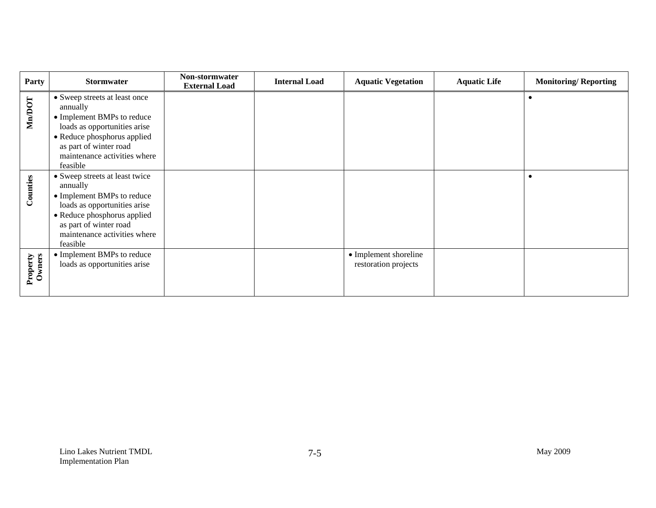| <b>Party</b>       | <b>Stormwater</b>                                                                                                                                                                                             | Non-stormwater<br><b>External Load</b> | <b>Internal Load</b> | <b>Aquatic Vegetation</b>                     | <b>Aquatic Life</b> | <b>Monitoring/Reporting</b> |
|--------------------|---------------------------------------------------------------------------------------------------------------------------------------------------------------------------------------------------------------|----------------------------------------|----------------------|-----------------------------------------------|---------------------|-----------------------------|
| <b>Nn/DOT</b>      | • Sweep streets at least once<br>annually<br>• Implement BMPs to reduce<br>loads as opportunities arise<br>• Reduce phosphorus applied<br>as part of winter road<br>maintenance activities where<br>feasible  |                                        |                      |                                               |                     |                             |
| Counties           | • Sweep streets at least twice<br>annually<br>• Implement BMPs to reduce<br>loads as opportunities arise<br>• Reduce phosphorus applied<br>as part of winter road<br>maintenance activities where<br>feasible |                                        |                      |                                               |                     |                             |
| Property<br>Owners | • Implement BMPs to reduce<br>loads as opportunities arise                                                                                                                                                    |                                        |                      | • Implement shoreline<br>restoration projects |                     |                             |